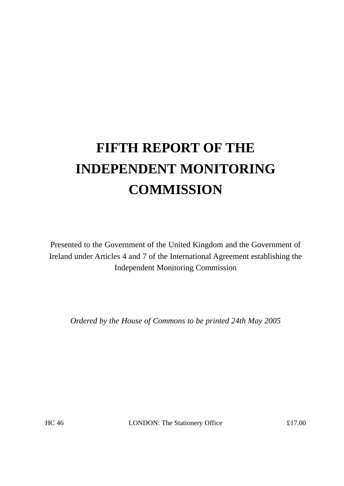# **FIFTH REPORT OF THE INDEPENDENT MONITORING COMMISSION**

Presented to the Government of the United Kingdom and the Government of Ireland under Articles 4 and 7 of the International Agreement establishing the Independent Monitoring Commission

*Ordered by the House of Commons to be printed 24th May 2005*

HC 46 LONDON: The Stationery Office  $£17.00$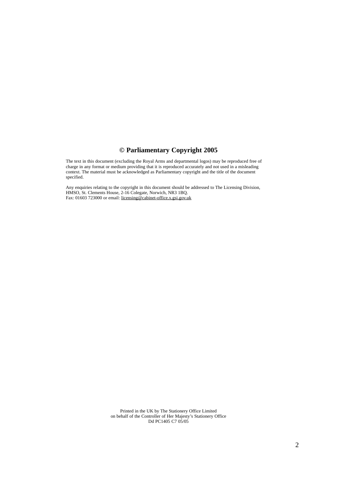## **© Parliamentary Copyright 2005**

The text in this document (excluding the Royal Arms and departmental logos) may be reproduced free of charge in any format or medium providing that it is reproduced accurately and not used in a misleading context. The material must be acknowledged as Parliamentary copyright and the title of the document specified.

Any enquiries relating to the copyright in this document should be addressed to The Licensing Division, HMSO, St. Clements House, 2-16 Colegate, Norwich, NR3 1BQ. Fax: 01603 723000 or email: licensing@cabinet-office.x.gsi.gov.uk

> Printed in the UK by The Stationery Office Limited on behalf of the Controller of Her Majesty's Stationery Office Dd PC1405 C7 05/05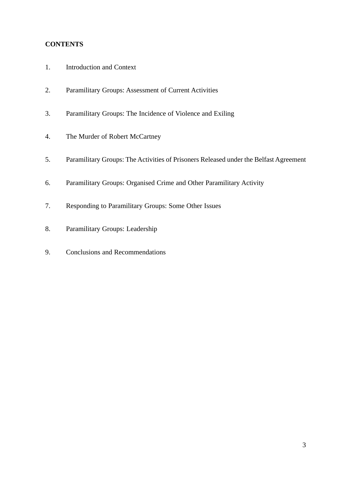## **CONTENTS**

- 1. Introduction and Context
- 2. Paramilitary Groups: Assessment of Current Activities
- 3. Paramilitary Groups: The Incidence of Violence and Exiling
- 4. The Murder of Robert McCartney
- 5. Paramilitary Groups: The Activities of Prisoners Released under the Belfast Agreement
- 6. Paramilitary Groups: Organised Crime and Other Paramilitary Activity
- 7. Responding to Paramilitary Groups: Some Other Issues
- 8. Paramilitary Groups: Leadership
- 9. Conclusions and Recommendations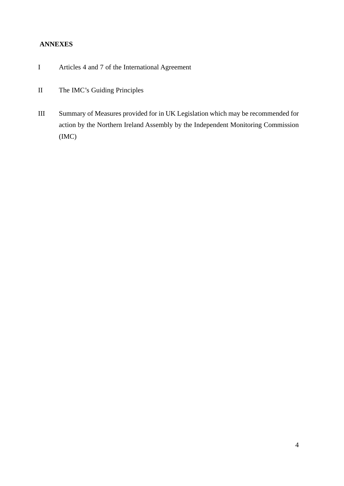## **ANNEXES**

- I Articles 4 and 7 of the International Agreement
- II The IMC's Guiding Principles
- III Summary of Measures provided for in UK Legislation which may be recommended for action by the Northern Ireland Assembly by the Independent Monitoring Commission (IMC)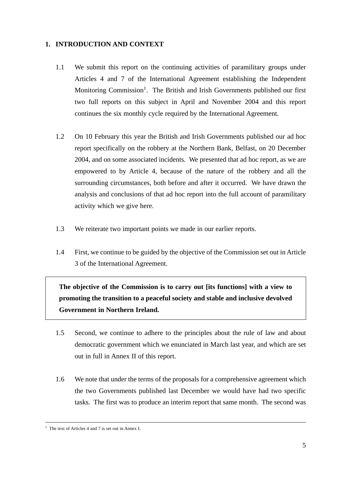## **1. INTRODUCTION AND CONTEXT**

- 1.1 We submit this report on the continuing activities of paramilitary groups under Articles 4 and 7 of the International Agreement establishing the Independent Monitoring Commission<sup>1</sup>. The British and Irish Governments published our first two full reports on this subject in April and November 2004 and this report continues the six monthly cycle required by the International Agreement.
- 1.2 On 10 February this year the British and Irish Governments published our ad hoc report specifically on the robbery at the Northern Bank, Belfast, on 20 December 2004, and on some associated incidents. We presented that ad hoc report, as we are empowered to by Article 4, because of the nature of the robbery and all the surrounding circumstances, both before and after it occurred. We have drawn the analysis and conclusions of that ad hoc report into the full account of paramilitary activity which we give here.
- 1.3 We reiterate two important points we made in our earlier reports.
- 1.4 First, we continue to be guided by the objective of the Commission set out in Article 3 of the International Agreement.

**The objective of the Commission is to carry out [its functions] with a view to promoting the transition to a peaceful society and stable and inclusive devolved Government in Northern Ireland.**

- 1.5 Second, we continue to adhere to the principles about the rule of law and about democratic government which we enunciated in March last year, and which are set out in full in Annex II of this report.
- 1.6 We note that under the terms of the proposals for a comprehensive agreement which the two Governments published last December we would have had two specific tasks. The first was to produce an interim report that same month. The second was

<sup>&</sup>lt;sup>1</sup> The text of Articles 4 and 7 is set out in Annex I.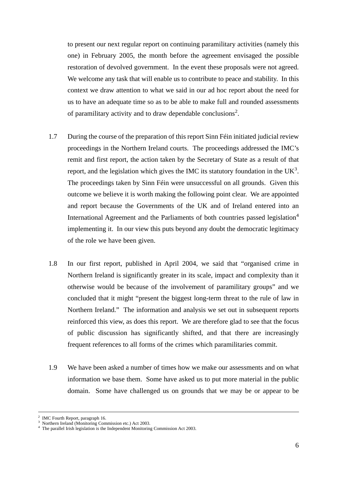to present our next regular report on continuing paramilitary activities (namely this one) in February 2005, the month before the agreement envisaged the possible restoration of devolved government. In the event these proposals were not agreed. We welcome any task that will enable us to contribute to peace and stability. In this context we draw attention to what we said in our ad hoc report about the need for us to have an adequate time so as to be able to make full and rounded assessments of paramilitary activity and to draw dependable conclusions<sup>2</sup>.

- 1.7 During the course of the preparation of this report Sinn Féin initiated judicial review proceedings in the Northern Ireland courts. The proceedings addressed the IMC's remit and first report, the action taken by the Secretary of State as a result of that report, and the legislation which gives the IMC its statutory foundation in the  $UK<sup>3</sup>$ . The proceedings taken by Sinn Féin were unsuccessful on all grounds. Given this outcome we believe it is worth making the following point clear. We are appointed and report because the Governments of the UK and of Ireland entered into an International Agreement and the Parliaments of both countries passed legislation<sup>4</sup> implementing it. In our view this puts beyond any doubt the democratic legitimacy of the role we have been given.
- 1.8 In our first report, published in April 2004, we said that "organised crime in Northern Ireland is significantly greater in its scale, impact and complexity than it otherwise would be because of the involvement of paramilitary groups" and we concluded that it might "present the biggest long-term threat to the rule of law in Northern Ireland." The information and analysis we set out in subsequent reports reinforced this view, as does this report. We are therefore glad to see that the focus of public discussion has significantly shifted, and that there are increasingly frequent references to all forms of the crimes which paramilitaries commit.
- 1.9 We have been asked a number of times how we make our assessments and on what information we base them. Some have asked us to put more material in the public domain. Some have challenged us on grounds that we may be or appear to be

<sup>&</sup>lt;sup>2</sup> IMC Fourth Report, paragraph 16.  $\frac{3}{10}$  Northern Ireland (Monitoring Commission etc.) Act 2003.  $\frac{4}{10}$  The parallel Irish legislation is the Independent Monitoring Commission Act 2003.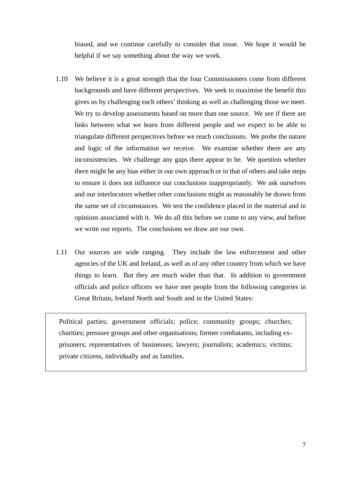biased, and we continue carefully to consider that issue. We hope it would be helpful if we say something about the way we work.

- 1.10 We believe it is a great strength that the four Commissioners come from different backgrounds and have different perspectives. We seek to maximise the benefit this gives us by challenging each others' thinking as well as challenging those we meet. We try to develop assessments based on more than one source. We see if there are links between what we learn from different people and we expect to be able to triangulate different perspectives before we reach conclusions. We probe the nature and logic of the information we receive. We examine whether there are any inconsistencies. We challenge any gaps there appear to be. We question whether there might be any bias either in our own approach or in that of others and take steps to ensure it does not influence our conclusions inappropriately. We ask ourselves and our interlocutors whether other conclusions might as reasonably be drawn from the same set of circumstances. We test the confidence placed in the material and in opinions associated with it. We do all this before we come to any view, and before we write our reports. The conclusions we draw are our own.
- 1.11 Our sources are wide ranging. They include the law enforcement and other agencies of the UK and Ireland, as well as of any other country from which we have things to learn. But they are much wider than that. In addition to government officials and police officers we have met people from the following categories in Great Britain, Ireland North and South and in the United States:

Political parties; government officials; police; community groups; churches; charities; pressure groups and other organisations; former combatants, including exprisoners; representatives of businesses; lawyers; journalists; academics; victims; private citizens, individually and as families.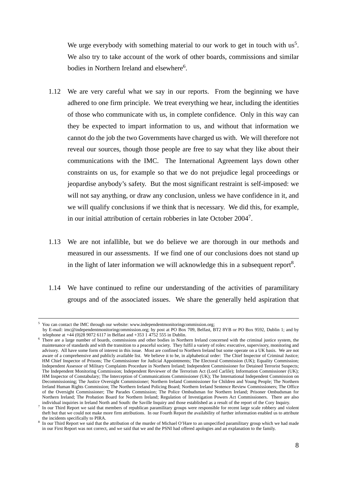We urge everybody with something material to our work to get in touch with  $\text{us}^5$ . We also try to take account of the work of other boards, commissions and similar bodies in Northern Ireland and elsewhere<sup>6</sup>.

- 1.12 We are very careful what we say in our reports. From the beginning we have adhered to one firm principle. We treat everything we hear, including the identities of those who communicate with us, in complete confidence. Only in this way can they be expected to impart information to us, and without that information we cannot do the job the two Governments have charged us with. We will therefore not reveal our sources, though those people are free to say what they like about their communications with the IMC. The International Agreement lays down other constraints on us, for example so that we do not prejudice legal proceedings or jeopardise anybody's safety. But the most significant restraint is self-imposed: we will not say anything, or draw any conclusion, unless we have confidence in it, and we will qualify conclusions if we think that is necessary. We did this, for example, in our initial attribution of certain robberies in late October 2004<sup>7</sup> .
- 1.13 We are not infallible, but we do believe we are thorough in our methods and measured in our assessments. If we find one of our conclusions does not stand up in the light of later information we will acknowledge this in a subsequent report<sup>8</sup>.
- 1.14 We have continued to refine our understanding of the activities of paramilitary groups and of the associated issues. We share the generally held aspiration that

<sup>5</sup> You can contact the IMC through our website: www.independentmonitoringcommission.org;

by E-mail: imc@independentmonitoringcommission.org; by post at PO Box 709, Belfast, BT2 8YB or PO Box 9592, Dublin 1; and by telephone at +44 (0)28 9072 6117 in Belfast and +353 1 4752 555 in Dublin.

 $6$  There are a large number of boards, commissions and other bodies in Northern Ireland concerned with the criminal justice system, the maintenance of standards and with the transition to a peaceful society. They fulfil a variety of roles: executive, supervisory, monitoring and advisory. All have some form of interest in this issue. Most are confined to Northern Ireland but some operate on a UK basis. We are not aware of a comprehensive and publicly available list. We believe it to be, in alphabetical order: The Chief Inspector of Criminal Justice; HM Chief Inspector of Prisons; The Commissioner for Judicial Appointments; The Electoral Commission (UK); Equality Commission; Independent Assessor of Military Complaints Procedure in Northern Ireland; Independent Commissioner for Detained Terrorist Suspects; The Independent Monitoring Commission; Independent Reviewer of the Terrorism Act (Lord Carlile); Information Commissioner (UK); HM Inspector of Constabulary; The Interception of Communications Commissioner (UK); The International Independent Commission on Decommissioning; The Justice Oversight Commissioner; Northern Ireland Commissioner for Children and Young People; The Northern Ireland Human Rights Commission; The Northern Ireland Policing Board; Northern Ireland Sentence Review Commissioners; The Office of the Oversight Commissioner; The Parades Commission; The Police Ombudsman for Northern Ireland; Prisoner Ombudsman for Northern Ireland; The Probation Board for Northern Ireland; Regulation of Investigation Powers Act Commissioners. There are also individual inquiries in Ireland North and South: the Saville Inquiry and those established as

The our Third Report we said that members of republican paramilitary groups were responsible for recent large scale robbery and violent theft but that we could not make more firm attributions. In our Fourth Report the availability of further information enabled us to attribute

<sup>&</sup>lt;sup>8</sup> In our Third Report we said that the attribution of the murder of Michael O'Hare to an unspecified paramilitary group which we had made in our First Report was not correct, and we said that we and the PSNI had offered apologies and an explanation to the family.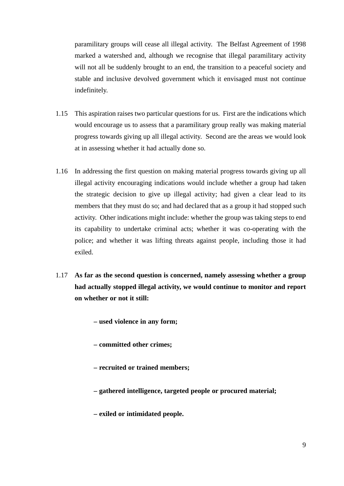paramilitary groups will cease all illegal activity. The Belfast Agreement of 1998 marked a watershed and, although we recognise that illegal paramilitary activity will not all be suddenly brought to an end, the transition to a peaceful society and stable and inclusive devolved government which it envisaged must not continue indefinitely.

- 1.15 This aspiration raises two particular questions for us. First are the indications which would encourage us to assess that a paramilitary group really was making material progress towards giving up all illegal activity. Second are the areas we would look at in assessing whether it had actually done so.
- 1.16 In addressing the first question on making material progress towards giving up all illegal activity encouraging indications would include whether a group had taken the strategic decision to give up illegal activity; had given a clear lead to its members that they must do so; and had declared that as a group it had stopped such activity. Other indications might include: whether the group was taking steps to end its capability to undertake criminal acts; whether it was co-operating with the police; and whether it was lifting threats against people, including those it had exiled.
- 1.17 **As far as the second question is concerned, namely assessing whether a group had actually stopped illegal activity, we would continue to monitor and report on whether or not it still:** 
	- **used violence in any form;**
	- **committed other crimes;**
	- **recruited or trained members;**
	- **gathered intelligence, targeted people or procured material;**
	- **exiled or intimidated people.**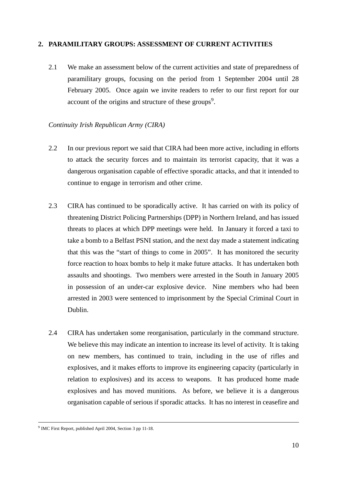#### **2. PARAMILITARY GROUPS: ASSESSMENT OF CURRENT ACTIVITIES**

2.1 We make an assessment below of the current activities and state of preparedness of paramilitary groups, focusing on the period from 1 September 2004 until 28 February 2005. Once again we invite readers to refer to our first report for our account of the origins and structure of these groups<sup>9</sup>.

#### *Continuity Irish Republican Army (CIRA)*

- 2.2 In our previous report we said that CIRA had been more active, including in efforts to attack the security forces and to maintain its terrorist capacity, that it was a dangerous organisation capable of effective sporadic attacks, and that it intended to continue to engage in terrorism and other crime.
- 2.3 CIRA has continued to be sporadically active. It has carried on with its policy of threatening District Policing Partnerships (DPP) in Northern Ireland, and has issued threats to places at which DPP meetings were held. In January it forced a taxi to take a bomb to a Belfast PSNI station, and the next day made a statement indicating that this was the "start of things to come in 2005". It has monitored the security force reaction to hoax bombs to help it make future attacks. It has undertaken both assaults and shootings. Two members were arrested in the South in January 2005 in possession of an under-car explosive device. Nine members who had been arrested in 2003 were sentenced to imprisonment by the Special Criminal Court in Dublin.
- 2.4 CIRA has undertaken some reorganisation, particularly in the command structure. We believe this may indicate an intention to increase its level of activity. It is taking on new members, has continued to train, including in the use of rifles and explosives, and it makes efforts to improve its engineering capacity (particularly in relation to explosives) and its access to weapons. It has produced home made explosives and has moved munitions. As before, we believe it is a dangerous organisation capable of serious if sporadic attacks. It has no interest in ceasefire and

<sup>9</sup> IMC First Report, published April 2004, Section 3 pp 11-18.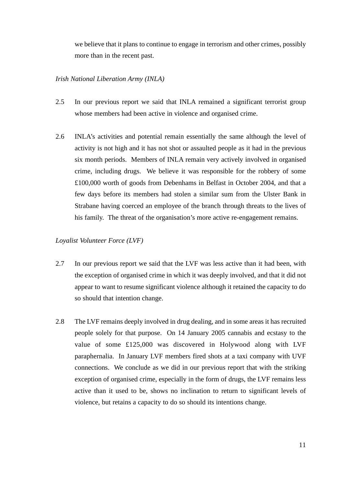we believe that it plans to continue to engage in terrorism and other crimes, possibly more than in the recent past.

#### *Irish National Liberation Army (INLA)*

- 2.5 In our previous report we said that INLA remained a significant terrorist group whose members had been active in violence and organised crime.
- 2.6 INLA's activities and potential remain essentially the same although the level of activity is not high and it has not shot or assaulted people as it had in the previous six month periods. Members of INLA remain very actively involved in organised crime, including drugs. We believe it was responsible for the robbery of some £100,000 worth of goods from Debenhams in Belfast in October 2004, and that a few days before its members had stolen a similar sum from the Ulster Bank in Strabane having coerced an employee of the branch through threats to the lives of his family. The threat of the organisation's more active re-engagement remains.

#### *Loyalist Volunteer Force (LVF)*

- 2.7 In our previous report we said that the LVF was less active than it had been, with the exception of organised crime in which it was deeply involved, and that it did not appear to want to resume significant violence although it retained the capacity to do so should that intention change.
- 2.8 The LVF remains deeply involved in drug dealing, and in some areas it has recruited people solely for that purpose. On 14 January 2005 cannabis and ecstasy to the value of some £125,000 was discovered in Holywood along with LVF paraphernalia. In January LVF members fired shots at a taxi company with UVF connections. We conclude as we did in our previous report that with the striking exception of organised crime, especially in the form of drugs, the LVF remains less active than it used to be, shows no inclination to return to significant levels of violence, but retains a capacity to do so should its intentions change.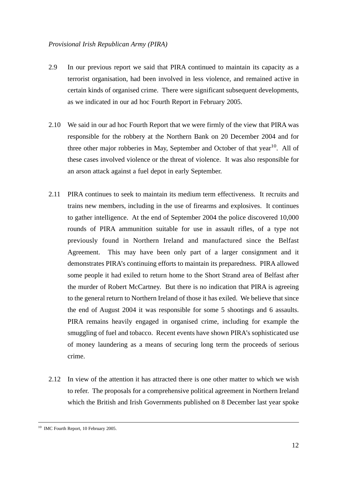- 2.9 In our previous report we said that PIRA continued to maintain its capacity as a terrorist organisation, had been involved in less violence, and remained active in certain kinds of organised crime. There were significant subsequent developments, as we indicated in our ad hoc Fourth Report in February 2005.
- 2.10 We said in our ad hoc Fourth Report that we were firmly of the view that PIRA was responsible for the robbery at the Northern Bank on 20 December 2004 and for three other major robberies in May, September and October of that year<sup>10</sup>. All of these cases involved violence or the threat of violence. It was also responsible for an arson attack against a fuel depot in early September.
- 2.11 PIRA continues to seek to maintain its medium term effectiveness. It recruits and trains new members, including in the use of firearms and explosives. It continues to gather intelligence. At the end of September 2004 the police discovered 10,000 rounds of PIRA ammunition suitable for use in assault rifles, of a type not previously found in Northern Ireland and manufactured since the Belfast Agreement. This may have been only part of a larger consignment and it demonstrates PIRA's continuing efforts to maintain its preparedness. PIRA allowed some people it had exiled to return home to the Short Strand area of Belfast after the murder of Robert McCartney. But there is no indication that PIRA is agreeing to the general return to Northern Ireland of those it has exiled. We believe that since the end of August 2004 it was responsible for some 5 shootings and 6 assaults. PIRA remains heavily engaged in organised crime, including for example the smuggling of fuel and tobacco. Recent events have shown PIRA's sophisticated use of money laundering as a means of securing long term the proceeds of serious crime.
- 2.12 In view of the attention it has attracted there is one other matter to which we wish to refer. The proposals for a comprehensive political agreement in Northern Ireland which the British and Irish Governments published on 8 December last year spoke

<sup>&</sup>lt;sup>10</sup> IMC Fourth Report, 10 February 2005.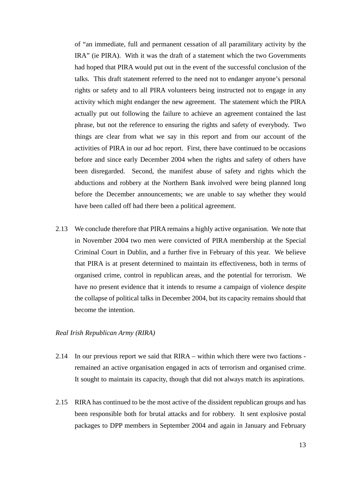of "an immediate, full and permanent cessation of all paramilitary activity by the IRA" (ie PIRA). With it was the draft of a statement which the two Governments had hoped that PIRA would put out in the event of the successful conclusion of the talks. This draft statement referred to the need not to endanger anyone's personal rights or safety and to all PIRA volunteers being instructed not to engage in any activity which might endanger the new agreement. The statement which the PIRA actually put out following the failure to achieve an agreement contained the last phrase, but not the reference to ensuring the rights and safety of everybody. Two things are clear from what we say in this report and from our account of the activities of PIRA in our ad hoc report. First, there have continued to be occasions before and since early December 2004 when the rights and safety of others have been disregarded. Second, the manifest abuse of safety and rights which the abductions and robbery at the Northern Bank involved were being planned long before the December announcements; we are unable to say whether they would have been called off had there been a political agreement.

2.13 We conclude therefore that PIRA remains a highly active organisation. We note that in November 2004 two men were convicted of PIRA membership at the Special Criminal Court in Dublin, and a further five in February of this year. We believe that PIRA is at present determined to maintain its effectiveness, both in terms of organised crime, control in republican areas, and the potential for terrorism. We have no present evidence that it intends to resume a campaign of violence despite the collapse of political talks in December 2004, but its capacity remains should that become the intention.

#### *Real Irish Republican Army (RIRA)*

- 2.14 In our previous report we said that RIRA within which there were two factions remained an active organisation engaged in acts of terrorism and organised crime. It sought to maintain its capacity, though that did not always match its aspirations.
- 2.15 RIRA has continued to be the most active of the dissident republican groups and has been responsible both for brutal attacks and for robbery. It sent explosive postal packages to DPP members in September 2004 and again in January and February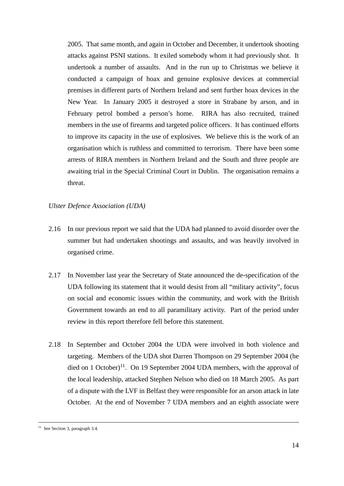2005. That same month, and again in October and December, it undertook shooting attacks against PSNI stations. It exiled somebody whom it had previously shot. It undertook a number of assaults. And in the run up to Christmas we believe it conducted a campaign of hoax and genuine explosive devices at commercial premises in different parts of Northern Ireland and sent further hoax devices in the New Year. In January 2005 it destroyed a store in Strabane by arson, and in February petrol bombed a person's home. RIRA has also recruited, trained members in the use of firearms and targeted police officers. It has continued efforts to improve its capacity in the use of explosives. We believe this is the work of an organisation which is ruthless and committed to terrorism. There have been some arrests of RIRA members in Northern Ireland and the South and three people are awaiting trial in the Special Criminal Court in Dublin. The organisation remains a threat.

#### *Ulster Defence Association (UDA)*

- 2.16 In our previous report we said that the UDA had planned to avoid disorder over the summer but had undertaken shootings and assaults, and was heavily involved in organised crime.
- 2.17 In November last year the Secretary of State announced the de-specification of the UDA following its statement that it would desist from all "military activity", focus on social and economic issues within the community, and work with the British Government towards an end to all paramilitary activity. Part of the period under review in this report therefore fell before this statement.
- 2.18 In September and October 2004 the UDA were involved in both violence and targeting. Members of the UDA shot Darren Thompson on 29 September 2004 (he died on 1 October)<sup>11</sup>. On 19 September 2004 UDA members, with the approval of the local leadership, attacked Stephen Nelson who died on 18 March 2005. As part of a dispute with the LVF in Belfast they were responsible for an arson attack in late October. At the end of November 7 UDA members and an eighth associate were

 $11$  See Section 3, paragraph 3.4.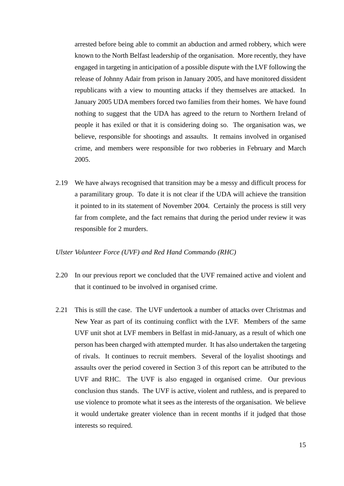arrested before being able to commit an abduction and armed robbery, which were known to the North Belfast leadership of the organisation. More recently, they have engaged in targeting in anticipation of a possible dispute with the LVF following the release of Johnny Adair from prison in January 2005, and have monitored dissident republicans with a view to mounting attacks if they themselves are attacked. In January 2005 UDA members forced two families from their homes. We have found nothing to suggest that the UDA has agreed to the return to Northern Ireland of people it has exiled or that it is considering doing so. The organisation was, we believe, responsible for shootings and assaults. It remains involved in organised crime, and members were responsible for two robberies in February and March 2005.

2.19 We have always recognised that transition may be a messy and difficult process for a paramilitary group. To date it is not clear if the UDA will achieve the transition it pointed to in its statement of November 2004. Certainly the process is still very far from complete, and the fact remains that during the period under review it was responsible for 2 murders.

#### *Ulster Volunteer Force (UVF) and Red Hand Commando (RHC)*

- 2.20 In our previous report we concluded that the UVF remained active and violent and that it continued to be involved in organised crime.
- 2.21 This is still the case. The UVF undertook a number of attacks over Christmas and New Year as part of its continuing conflict with the LVF. Members of the same UVF unit shot at LVF members in Belfast in mid-January, as a result of which one person has been charged with attempted murder. It has also undertaken the targeting of rivals. It continues to recruit members. Several of the loyalist shootings and assaults over the period covered in Section 3 of this report can be attributed to the UVF and RHC. The UVF is also engaged in organised crime. Our previous conclusion thus stands. The UVF is active, violent and ruthless, and is prepared to use violence to promote what it sees as the interests of the organisation. We believe it would undertake greater violence than in recent months if it judged that those interests so required.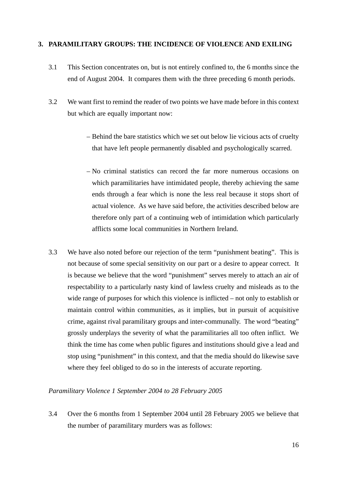#### **3. PARAMILITARY GROUPS: THE INCIDENCE OF VIOLENCE AND EXILING**

- 3.1 This Section concentrates on, but is not entirely confined to, the 6 months since the end of August 2004. It compares them with the three preceding 6 month periods.
- 3.2 We want first to remind the reader of two points we have made before in this context but which are equally important now:
	- Behind the bare statistics which we set out below lie vicious acts of cruelty that have left people permanently disabled and psychologically scarred.
	- No criminal statistics can record the far more numerous occasions on which paramilitaries have intimidated people, thereby achieving the same ends through a fear which is none the less real because it stops short of actual violence. As we have said before, the activities described below are therefore only part of a continuing web of intimidation which particularly afflicts some local communities in Northern Ireland.
- 3.3 We have also noted before our rejection of the term "punishment beating". This is not because of some special sensitivity on our part or a desire to appear correct. It is because we believe that the word "punishment" serves merely to attach an air of respectability to a particularly nasty kind of lawless cruelty and misleads as to the wide range of purposes for which this violence is inflicted – not only to establish or maintain control within communities, as it implies, but in pursuit of acquisitive crime, against rival paramilitary groups and inter-communally. The word "beating" grossly underplays the severity of what the paramilitaries all too often inflict. We think the time has come when public figures and institutions should give a lead and stop using "punishment" in this context, and that the media should do likewise save where they feel obliged to do so in the interests of accurate reporting.

#### *Paramilitary Violence 1 September 2004 to 28 February 2005*

3.4 Over the 6 months from 1 September 2004 until 28 February 2005 we believe that the number of paramilitary murders was as follows: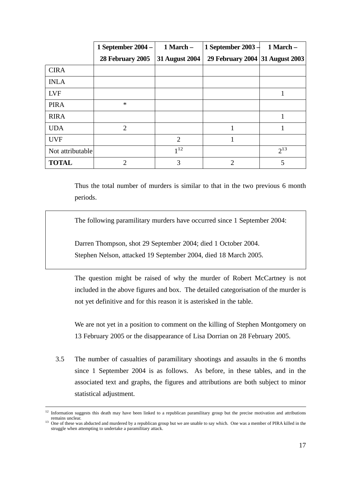|                  | 1 September 2004 –          | $1$ March $-$         | 1 September 2003 $-$            | 1 March - |
|------------------|-----------------------------|-----------------------|---------------------------------|-----------|
|                  | 28 February 2005            | <b>31 August 2004</b> | 29 February 2004 31 August 2003 |           |
| <b>CIRA</b>      |                             |                       |                                 |           |
| <b>INLA</b>      |                             |                       |                                 |           |
| <b>LVF</b>       |                             |                       |                                 |           |
| <b>PIRA</b>      | $\ast$                      |                       |                                 |           |
| <b>RIRA</b>      |                             |                       |                                 |           |
| <b>UDA</b>       | $\mathcal{D}_{\mathcal{L}}$ |                       |                                 |           |
| <b>UVF</b>       |                             | $\overline{2}$        |                                 |           |
| Not attributable |                             | $1^{12}$              |                                 | $2^{13}$  |
| <b>TOTAL</b>     | $\overline{2}$              | 3                     | 2                               | 5         |

Thus the total number of murders is similar to that in the two previous 6 month periods.

The following paramilitary murders have occurred since 1 September 2004:

Darren Thompson, shot 29 September 2004; died 1 October 2004. Stephen Nelson, attacked 19 September 2004, died 18 March 2005.

The question might be raised of why the murder of Robert McCartney is not included in the above figures and box. The detailed categorisation of the murder is not yet definitive and for this reason it is asterisked in the table.

We are not yet in a position to comment on the killing of Stephen Montgomery on 13 February 2005 or the disappearance of Lisa Dorrian on 28 February 2005.

3.5 The number of casualties of paramilitary shootings and assaults in the 6 months since 1 September 2004 is as follows. As before, in these tables, and in the associated text and graphs, the figures and attributions are both subject to minor statistical adjustment.

<sup>12</sup> Information suggests this death may have been linked to a republican paramilitary group but the precise motivation and attributions

 $13$  One of these was abducted and murdered by a republican group but we are unable to say which. One was a member of PIRA killed in the struggle when attempting to undertake a paramilitary attack.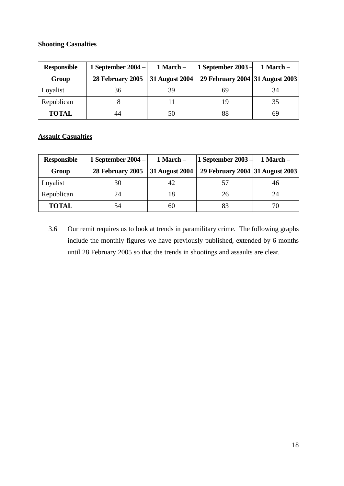## **Shooting Casualties**

| <b>Responsible</b> | 1 September 2004 $-$ | 1 March –      | 1 September 2003 $\rm{\dashv}$  | 1 March – |
|--------------------|----------------------|----------------|---------------------------------|-----------|
| Group              | 28 February 2005     | 31 August 2004 | 29 February 2004 31 August 2003 |           |
| Loyalist           | 36                   | 39             | 69                              | 34        |
| Republican         |                      |                | 19                              | 35        |
| <b>TOTAL</b>       | 44                   | 50             | 88                              | 69        |

## **Assault Casualties**

| <b>Responsible</b> | 1 September 2004 $-$ | $1$ March $-$         | 1 September 2003 $-$            | 1 March – |
|--------------------|----------------------|-----------------------|---------------------------------|-----------|
| Group              | 28 February 2005     | <b>31 August 2004</b> | 29 February 2004 31 August 2003 |           |
| Loyalist           | 30                   | 42                    |                                 | 46        |
| Republican         | 24                   | 18                    | 26                              | 24        |
| <b>TOTAL</b>       | 54                   | 60                    | 83                              | 70        |

3.6 Our remit requires us to look at trends in paramilitary crime. The following graphs include the monthly figures we have previously published, extended by 6 months until 28 February 2005 so that the trends in shootings and assaults are clear.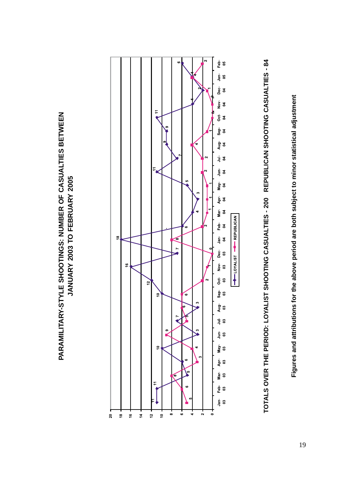$\overline{z}$  $\leq$  $\overline{\circ}$   $\overline{\circ}$ **PARAMILITARY-STYLE SHOOTINGS: NUMBER OF CASUALTIES BETWEEN JANUARY 2003 TO FEBRUARY 2005**



**TOTALS OVER THE PERIOD: LOYALIST SHOOTING CASUALTIES - 200 REPUBLICAN SHOOTING CASUALTIES - 84**

**Figures and attributions for the above period are both subject to minor statistical adjustment**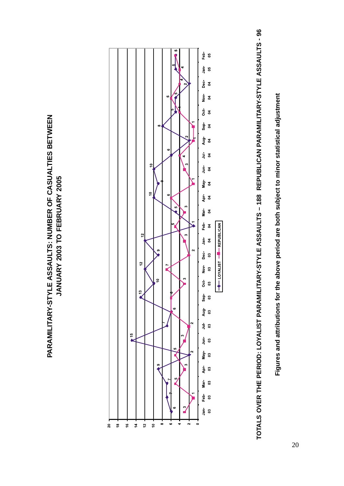Conclusions that for  $\alpha$ **PARAMILITARY-STYLE ASSAULTS: NUMBER OF CASUALTIES BETWEEN JANUARY 2003 TO FEBRUARY 2005**



**TOTALS OVER THE PERIOD: LOYALIST PARAMILITARY-STYLE ASSAULTS – 188 REPUBLICAN PARAMILITARY-STYLE ASSAULTS - 96**

**Figures and attributions for the above period are both subject to minor statistical adjustment**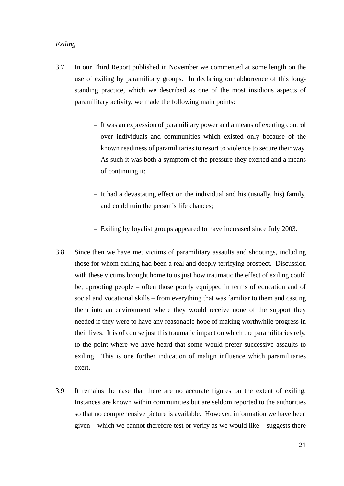#### *Exiling*

- 3.7 In our Third Report published in November we commented at some length on the use of exiling by paramilitary groups. In declaring our abhorrence of this longstanding practice, which we described as one of the most insidious aspects of paramilitary activity, we made the following main points:
	- It was an expression of paramilitary power and a means of exerting control over individuals and communities which existed only because of the known readiness of paramilitaries to resort to violence to secure their way. As such it was both a symptom of the pressure they exerted and a means of continuing it:
	- It had a devastating effect on the individual and his (usually, his) family, and could ruin the person's life chances;
	- Exiling by loyalist groups appeared to have increased since July 2003.
- 3.8 Since then we have met victims of paramilitary assaults and shootings, including those for whom exiling had been a real and deeply terrifying prospect. Discussion with these victims brought home to us just how traumatic the effect of exiling could be, uprooting people – often those poorly equipped in terms of education and of social and vocational skills – from everything that was familiar to them and casting them into an environment where they would receive none of the support they needed if they were to have any reasonable hope of making worthwhile progress in their lives. It is of course just this traumatic impact on which the paramilitaries rely, to the point where we have heard that some would prefer successive assaults to exiling. This is one further indication of malign influence which paramilitaries exert.
- 3.9 It remains the case that there are no accurate figures on the extent of exiling. Instances are known within communities but are seldom reported to the authorities so that no comprehensive picture is available. However, information we have been given – which we cannot therefore test or verify as we would like – suggests there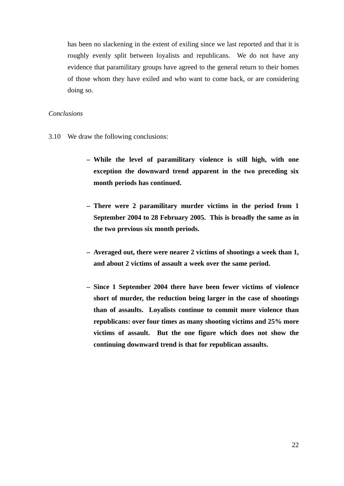has been no slackening in the extent of exiling since we last reported and that it is roughly evenly split between loyalists and republicans. We do not have any evidence that paramilitary groups have agreed to the general return to their homes of those whom they have exiled and who want to come back, or are considering doing so.

#### *Conclusions*

- 3.10 We draw the following conclusions:
	- **While the level of paramilitary violence is still high, with one exception the downward trend apparent in the two preceding six month periods has continued.**
	- **There were 2 paramilitary murder victims in the period from 1 September 2004 to 28 February 2005. This is broadly the same as in the two previous six month periods.**
	- **Averaged out, there were nearer 2 victims of shootings a week than 1, and about 2 victims of assault a week over the same period.**
	- **Since 1 September 2004 there have been fewer victims of violence short of murder, the reduction being larger in the case of shootings than of assaults. Loyalists continue to commit more violence than republicans: over four times as many shooting victims and 25% more victims of assault. But the one figure which does not show the continuing downward trend is that for republican assaults.**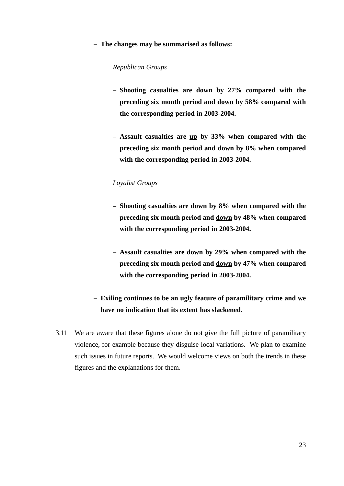**– The changes may be summarised as follows:**

#### *Republican Groups*

- **Shooting casualties are down by 27% compared with the preceding six month period and down by 58% compared with the corresponding period in 2003-2004.**
- **Assault casualties are up by 33% when compared with the preceding six month period and down by 8% when compared with the corresponding period in 2003-2004.**

#### *Loyalist Groups*

- **Shooting casualties are down by 8% when compared with the preceding six month period and down by 48% when compared with the corresponding period in 2003-2004.**
- **Assault casualties are down by 29% when compared with the preceding six month period and down by 47% when compared with the corresponding period in 2003-2004.**
- **Exiling continues to be an ugly feature of paramilitary crime and we have no indication that its extent has slackened.**
- 3.11 We are aware that these figures alone do not give the full picture of paramilitary violence, for example because they disguise local variations. We plan to examine such issues in future reports. We would welcome views on both the trends in these figures and the explanations for them.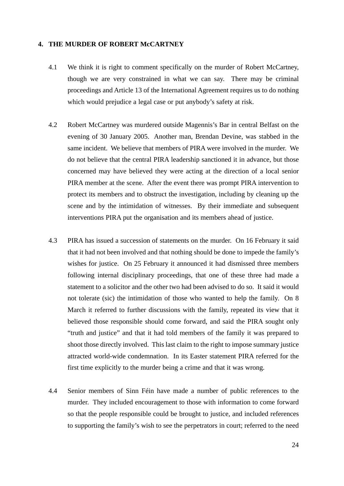#### **4. THE MURDER OF ROBERT McCARTNEY**

- 4.1 We think it is right to comment specifically on the murder of Robert McCartney, though we are very constrained in what we can say. There may be criminal proceedings and Article 13 of the International Agreement requires us to do nothing which would prejudice a legal case or put anybody's safety at risk.
- 4.2 Robert McCartney was murdered outside Magennis's Bar in central Belfast on the evening of 30 January 2005. Another man, Brendan Devine, was stabbed in the same incident. We believe that members of PIRA were involved in the murder. We do not believe that the central PIRA leadership sanctioned it in advance, but those concerned may have believed they were acting at the direction of a local senior PIRA member at the scene. After the event there was prompt PIRA intervention to protect its members and to obstruct the investigation, including by cleaning up the scene and by the intimidation of witnesses. By their immediate and subsequent interventions PIRA put the organisation and its members ahead of justice.
- 4.3 PIRA has issued a succession of statements on the murder. On 16 February it said that it had not been involved and that nothing should be done to impede the family's wishes for justice. On 25 February it announced it had dismissed three members following internal disciplinary proceedings, that one of these three had made a statement to a solicitor and the other two had been advised to do so. It said it would not tolerate (sic) the intimidation of those who wanted to help the family. On 8 March it referred to further discussions with the family, repeated its view that it believed those responsible should come forward, and said the PIRA sought only "truth and justice" and that it had told members of the family it was prepared to shoot those directly involved. This last claim to the right to impose summary justice attracted world-wide condemnation. In its Easter statement PIRA referred for the first time explicitly to the murder being a crime and that it was wrong.
- 4.4 Senior members of Sinn Féin have made a number of public references to the murder. They included encouragement to those with information to come forward so that the people responsible could be brought to justice, and included references to supporting the family's wish to see the perpetrators in court; referred to the need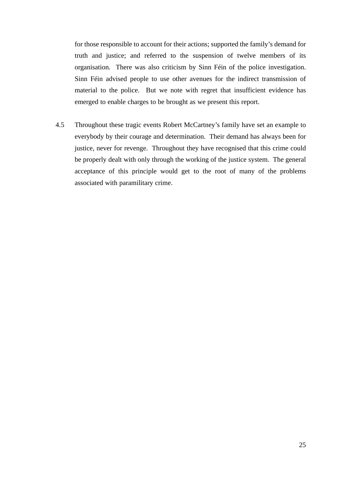for those responsible to account for their actions; supported the family's demand for truth and justice; and referred to the suspension of twelve members of its organisation. There was also criticism by Sinn Féin of the police investigation. Sinn Féin advised people to use other avenues for the indirect transmission of material to the police. But we note with regret that insufficient evidence has emerged to enable charges to be brought as we present this report.

4.5 Throughout these tragic events Robert McCartney's family have set an example to everybody by their courage and determination. Their demand has always been for justice, never for revenge. Throughout they have recognised that this crime could be properly dealt with only through the working of the justice system. The general acceptance of this principle would get to the root of many of the problems associated with paramilitary crime.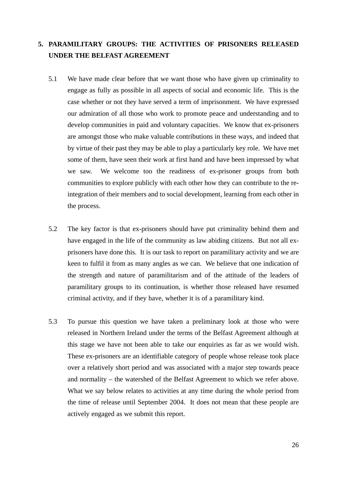# **5. PARAMILITARY GROUPS: THE ACTIVITIES OF PRISONERS RELEASED UNDER THE BELFAST AGREEMENT**

- 5.1 We have made clear before that we want those who have given up criminality to engage as fully as possible in all aspects of social and economic life. This is the case whether or not they have served a term of imprisonment. We have expressed our admiration of all those who work to promote peace and understanding and to develop communities in paid and voluntary capacities. We know that ex-prisoners are amongst those who make valuable contributions in these ways, and indeed that by virtue of their past they may be able to play a particularly key role. We have met some of them, have seen their work at first hand and have been impressed by what we saw. We welcome too the readiness of ex-prisoner groups from both communities to explore publicly with each other how they can contribute to the reintegration of their members and to social development, learning from each other in the process.
- 5.2 The key factor is that ex-prisoners should have put criminality behind them and have engaged in the life of the community as law abiding citizens. But not all exprisoners have done this. It is our task to report on paramilitary activity and we are keen to fulfil it from as many angles as we can. We believe that one indication of the strength and nature of paramilitarism and of the attitude of the leaders of paramilitary groups to its continuation, is whether those released have resumed criminal activity, and if they have, whether it is of a paramilitary kind.
- 5.3 To pursue this question we have taken a preliminary look at those who were released in Northern Ireland under the terms of the Belfast Agreement although at this stage we have not been able to take our enquiries as far as we would wish. These ex-prisoners are an identifiable category of people whose release took place over a relatively short period and was associated with a major step towards peace and normality – the watershed of the Belfast Agreement to which we refer above. What we say below relates to activities at any time during the whole period from the time of release until September 2004. It does not mean that these people are actively engaged as we submit this report.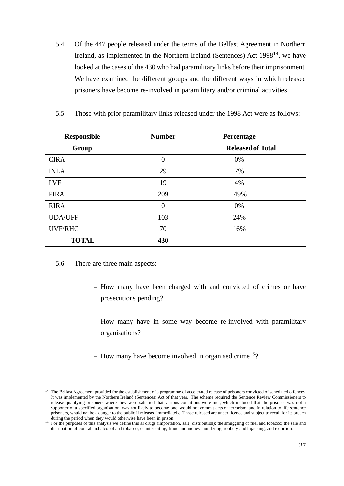- 5.4 Of the 447 people released under the terms of the Belfast Agreement in Northern Ireland, as implemented in the Northern Ireland (Sentences) Act  $1998<sup>14</sup>$ , we have looked at the cases of the 430 who had paramilitary links before their imprisonment. We have examined the different groups and the different ways in which released prisoners have become re-involved in paramilitary and/or criminal activities.
- 5.5 Those with prior paramilitary links released under the 1998 Act were as follows:

| <b>Responsible</b> | <b>Number</b>  | Percentage               |
|--------------------|----------------|--------------------------|
| Group              |                | <b>Released of Total</b> |
| <b>CIRA</b>        | $\overline{0}$ | 0%                       |
| <b>INLA</b>        | 29             | 7%                       |
| <b>LVF</b>         | 19             | 4%                       |
| <b>PIRA</b>        | 209            | 49%                      |
| <b>RIRA</b>        | $\theta$       | 0%                       |
| <b>UDA/UFF</b>     | 103            | 24%                      |
| <b>UVF/RHC</b>     | 70             | 16%                      |
| <b>TOTAL</b>       | 430            |                          |

- 5.6 There are three main aspects:
	- How many have been charged with and convicted of crimes or have prosecutions pending?
	- How many have in some way become re-involved with paramilitary organisations?
	- How many have become involved in organised crime<sup>15</sup>?

<sup>&</sup>lt;sup>14</sup> The Belfast Agreement provided for the establishment of a programme of accelerated release of prisoners convicted of scheduled offences. It was implemented by the Northern Ireland (Sentences) Act of that year. The scheme required the Sentence Review Commissioners to release qualifying prisoners where they were satisfied that various conditions were met, which included that the prisoner was not a supporter of a specified organisation, was not likely to become one, would not commit acts of terrorism, and in relation to life sentence prisoners, would not be a danger to the public if released immediately. Those released are under licence and subject to recall for its breach during the period when they would otherwise have been in prison.

<sup>&</sup>lt;sup>15</sup> For the purposes of this analysis we define this as drugs (importation, sale, distribution); the smuggling of fuel and tobacco; the sale and <sup>15</sup> distribution of contraband alcohol and tobacco; counterfeiting; fraud and money laundering; robbery and hijacking; and extortion.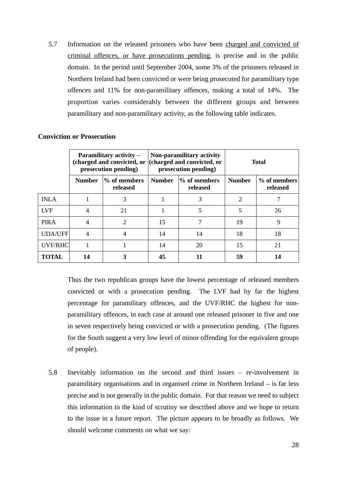5.7 Information on the released prisoners who have been charged and convicted of criminal offences, or have prosecutions pending, is precise and in the public domain. In the period until September 2004, some 3% of the prisoners released in Northern Ireland had been convicted or were being prosecuted for paramilitary type offences and 11% for non-paramilitary offences, making a total of 14%. The proportion varies considerably between the different groups and between paramilitary and non-paramilitary activity, as the following table indicates.

|                | Paramilitary activity -<br>(charged and convicted, or<br>prosecution pending) |                          | Non-paramilitary activity<br>(charged and convicted, or<br>prosecution pending) |                          | <b>Total</b>   |                          |
|----------------|-------------------------------------------------------------------------------|--------------------------|---------------------------------------------------------------------------------|--------------------------|----------------|--------------------------|
|                | <b>Number</b>                                                                 | % of members<br>released | <b>Number</b>                                                                   | % of members<br>released | <b>Number</b>  | % of members<br>released |
| <b>INLA</b>    |                                                                               | 3                        |                                                                                 | 3                        | $\overline{2}$ |                          |
| <b>LVF</b>     | 4                                                                             | 21                       |                                                                                 | 5                        | 5              | 26                       |
| <b>PIRA</b>    | 4                                                                             | $\mathfrak{D}$           | 15                                                                              | 7                        | 19             | 9                        |
| <b>UDA/UFF</b> | 4                                                                             | 4                        | 14                                                                              | 14                       | 18             | 18                       |
| <b>UVF/RHC</b> |                                                                               |                          | 14                                                                              | 20                       | 15             | 21                       |
| <b>TOTAL</b>   | 14                                                                            |                          | 45                                                                              | 11                       | 59             | 14                       |

## **Conviction or Prosecution**

Thus the two republican groups have the lowest percentage of released members convicted or with a prosecution pending. The LVF had by far the highest percentage for paramilitary offences, and the UVF/RHC the highest for nonparamilitary offences, in each case at around one released prisoner in five and one in seven respectively being convicted or with a prosecution pending. (The figures for the South suggest a very low level of minor offending for the equivalent groups of people).

5.8 Inevitably information on the second and third issues – re-involvement in paramilitary organisations and in organised crime in Northern Ireland – is far less precise and is not generally in the public domain. For that reason we need to subject this information to the kind of scrutiny we described above and we hope to return to the issue in a future report. The picture appears to be broadly as follows. We should welcome comments on what we say: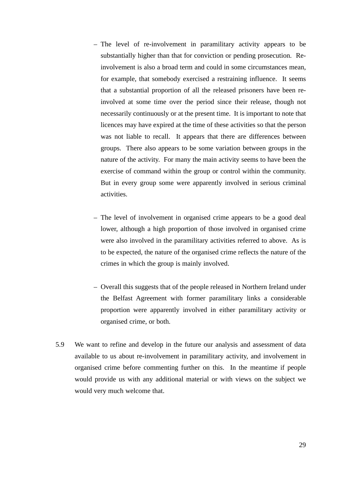- The level of re-involvement in paramilitary activity appears to be substantially higher than that for conviction or pending prosecution. Reinvolvement is also a broad term and could in some circumstances mean, for example, that somebody exercised a restraining influence. It seems that a substantial proportion of all the released prisoners have been reinvolved at some time over the period since their release, though not necessarily continuously or at the present time. It is important to note that licences may have expired at the time of these activities so that the person was not liable to recall. It appears that there are differences between groups. There also appears to be some variation between groups in the nature of the activity. For many the main activity seems to have been the exercise of command within the group or control within the community. But in every group some were apparently involved in serious criminal activities.
- The level of involvement in organised crime appears to be a good deal lower, although a high proportion of those involved in organised crime were also involved in the paramilitary activities referred to above. As is to be expected, the nature of the organised crime reflects the nature of the crimes in which the group is mainly involved.
- Overall this suggests that of the people released in Northern Ireland under the Belfast Agreement with former paramilitary links a considerable proportion were apparently involved in either paramilitary activity or organised crime, or both.
- 5.9 We want to refine and develop in the future our analysis and assessment of data available to us about re-involvement in paramilitary activity, and involvement in organised crime before commenting further on this. In the meantime if people would provide us with any additional material or with views on the subject we would very much welcome that.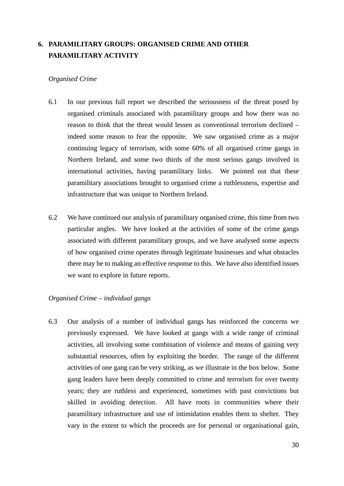# **6. PARAMILITARY GROUPS: ORGANISED CRIME AND OTHER PARAMILITARY ACTIVITY**

#### *Organised Crime*

- 6.1 In our previous full report we described the seriousness of the threat posed by organised criminals associated with paramilitary groups and how there was no reason to think that the threat would lessen as conventional terrorism declined – indeed some reason to fear the opposite. We saw organised crime as a major continuing legacy of terrorism, with some 60% of all organised crime gangs in Northern Ireland, and some two thirds of the most serious gangs involved in international activities, having paramilitary links. We pointed out that these paramilitary associations brought to organised crime a ruthlessness, expertise and infrastructure that was unique to Northern Ireland.
- 6.2 We have continued our analysis of paramilitary organised crime, this time from two particular angles. We have looked at the activities of some of the crime gangs associated with different paramilitary groups, and we have analysed some aspects of how organised crime operates through legitimate businesses and what obstacles there may be to making an effective response to this. We have also identified issues we want to explore in future reports.

#### *Organised Crime – individual gangs*

6.3 Our analysis of a number of individual gangs has reinforced the concerns we previously expressed. We have looked at gangs with a wide range of criminal activities, all involving some combination of violence and means of gaining very substantial resources, often by exploiting the border. The range of the different activities of one gang can be very striking, as we illustrate in the box below. Some gang leaders have been deeply committed to crime and terrorism for over twenty years; they are ruthless and experienced, sometimes with past convictions but skilled in avoiding detection. All have roots in communities where their paramilitary infrastructure and use of intimidation enables them to shelter. They vary in the extent to which the proceeds are for personal or organisational gain,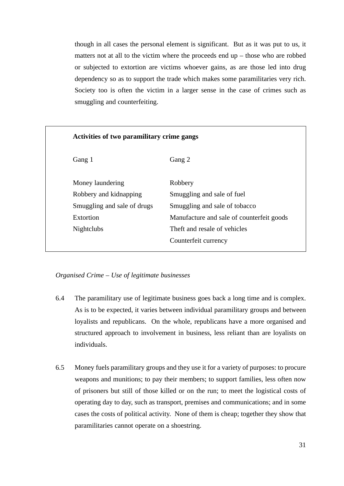though in all cases the personal element is significant. But as it was put to us, it matters not at all to the victim where the proceeds end up – those who are robbed or subjected to extortion are victims whoever gains, as are those led into drug dependency so as to support the trade which makes some paramilitaries very rich. Society too is often the victim in a larger sense in the case of crimes such as smuggling and counterfeiting.

| Activities of two paramilitary crime gangs |                                           |  |
|--------------------------------------------|-------------------------------------------|--|
| Gang 1                                     | Gang 2                                    |  |
| Money laundering                           | Robbery                                   |  |
| Robbery and kidnapping                     | Smuggling and sale of fuel                |  |
| Smuggling and sale of drugs                | Smuggling and sale of tobacco             |  |
| Extortion                                  | Manufacture and sale of counterfeit goods |  |
| <b>Nightclubs</b>                          | Theft and resale of vehicles              |  |
|                                            | Counterfeit currency                      |  |
|                                            |                                           |  |

#### *Organised Crime – Use of legitimate businesses*

- 6.4 The paramilitary use of legitimate business goes back a long time and is complex. As is to be expected, it varies between individual paramilitary groups and between loyalists and republicans. On the whole, republicans have a more organised and structured approach to involvement in business, less reliant than are loyalists on individuals.
- 6.5 Money fuels paramilitary groups and they use it for a variety of purposes: to procure weapons and munitions; to pay their members; to support families, less often now of prisoners but still of those killed or on the run; to meet the logistical costs of operating day to day, such as transport, premises and communications; and in some cases the costs of political activity. None of them is cheap; together they show that paramilitaries cannot operate on a shoestring.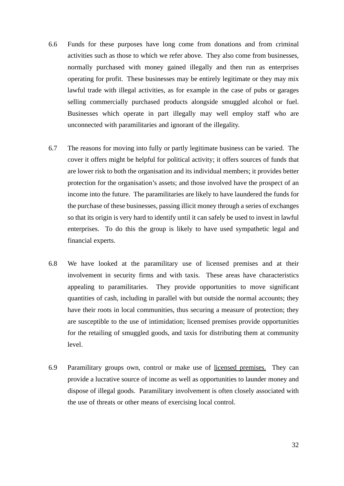- 6.6 Funds for these purposes have long come from donations and from criminal activities such as those to which we refer above. They also come from businesses, normally purchased with money gained illegally and then run as enterprises operating for profit. These businesses may be entirely legitimate or they may mix lawful trade with illegal activities, as for example in the case of pubs or garages selling commercially purchased products alongside smuggled alcohol or fuel. Businesses which operate in part illegally may well employ staff who are unconnected with paramilitaries and ignorant of the illegality.
- 6.7 The reasons for moving into fully or partly legitimate business can be varied. The cover it offers might be helpful for political activity; it offers sources of funds that are lower risk to both the organisation and its individual members; it provides better protection for the organisation's assets; and those involved have the prospect of an income into the future. The paramilitaries are likely to have laundered the funds for the purchase of these businesses, passing illicit money through a series of exchanges so that its origin is very hard to identify until it can safely be used to invest in lawful enterprises. To do this the group is likely to have used sympathetic legal and financial experts.
- 6.8 We have looked at the paramilitary use of licensed premises and at their involvement in security firms and with taxis. These areas have characteristics appealing to paramilitaries. They provide opportunities to move significant quantities of cash, including in parallel with but outside the normal accounts; they have their roots in local communities, thus securing a measure of protection; they are susceptible to the use of intimidation; licensed premises provide opportunities for the retailing of smuggled goods, and taxis for distributing them at community level.
- 6.9 Paramilitary groups own, control or make use of licensed premises. They can provide a lucrative source of income as well as opportunities to launder money and dispose of illegal goods. Paramilitary involvement is often closely associated with the use of threats or other means of exercising local control.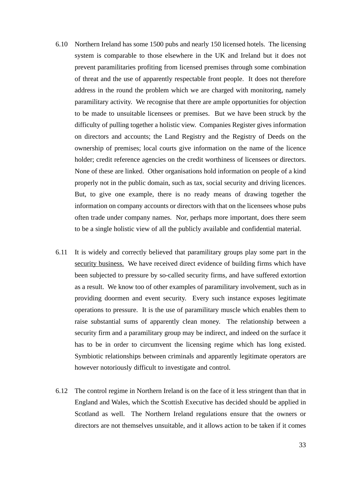- 6.10 Northern Ireland has some 1500 pubs and nearly 150 licensed hotels. The licensing system is comparable to those elsewhere in the UK and Ireland but it does not prevent paramilitaries profiting from licensed premises through some combination of threat and the use of apparently respectable front people. It does not therefore address in the round the problem which we are charged with monitoring, namely paramilitary activity. We recognise that there are ample opportunities for objection to be made to unsuitable licensees or premises. But we have been struck by the difficulty of pulling together a holistic view. Companies Register gives information on directors and accounts; the Land Registry and the Registry of Deeds on the ownership of premises; local courts give information on the name of the licence holder; credit reference agencies on the credit worthiness of licensees or directors. None of these are linked. Other organisations hold information on people of a kind properly not in the public domain, such as tax, social security and driving licences. But, to give one example, there is no ready means of drawing together the information on company accounts or directors with that on the licensees whose pubs often trade under company names. Nor, perhaps more important, does there seem to be a single holistic view of all the publicly available and confidential material.
- 6.11 It is widely and correctly believed that paramilitary groups play some part in the security business. We have received direct evidence of building firms which have been subjected to pressure by so-called security firms, and have suffered extortion as a result. We know too of other examples of paramilitary involvement, such as in providing doormen and event security. Every such instance exposes legitimate operations to pressure. It is the use of paramilitary muscle which enables them to raise substantial sums of apparently clean money. The relationship between a security firm and a paramilitary group may be indirect, and indeed on the surface it has to be in order to circumvent the licensing regime which has long existed. Symbiotic relationships between criminals and apparently legitimate operators are however notoriously difficult to investigate and control.
- 6.12 The control regime in Northern Ireland is on the face of it less stringent than that in England and Wales, which the Scottish Executive has decided should be applied in Scotland as well. The Northern Ireland regulations ensure that the owners or directors are not themselves unsuitable, and it allows action to be taken if it comes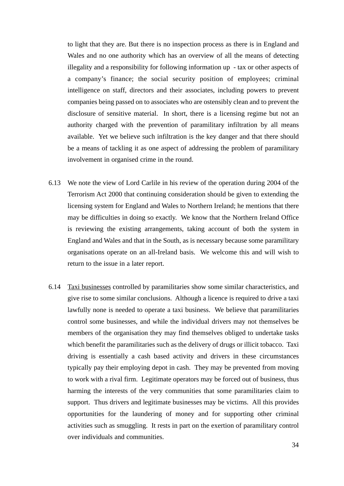to light that they are. But there is no inspection process as there is in England and Wales and no one authority which has an overview of all the means of detecting illegality and a responsibility for following information up - tax or other aspects of a company's finance; the social security position of employees; criminal intelligence on staff, directors and their associates, including powers to prevent companies being passed on to associates who are ostensibly clean and to prevent the disclosure of sensitive material. In short, there is a licensing regime but not an authority charged with the prevention of paramilitary infiltration by all means available. Yet we believe such infiltration is the key danger and that there should be a means of tackling it as one aspect of addressing the problem of paramilitary involvement in organised crime in the round.

- 6.13 We note the view of Lord Carlile in his review of the operation during 2004 of the Terrorism Act 2000 that continuing consideration should be given to extending the licensing system for England and Wales to Northern Ireland; he mentions that there may be difficulties in doing so exactly. We know that the Northern Ireland Office is reviewing the existing arrangements, taking account of both the system in England and Wales and that in the South, as is necessary because some paramilitary organisations operate on an all-Ireland basis. We welcome this and will wish to return to the issue in a later report.
- 6.14 Taxi businesses controlled by paramilitaries show some similar characteristics, and give rise to some similar conclusions. Although a licence is required to drive a taxi lawfully none is needed to operate a taxi business. We believe that paramilitaries control some businesses, and while the individual drivers may not themselves be members of the organisation they may find themselves obliged to undertake tasks which benefit the paramilitaries such as the delivery of drugs or illicit tobacco. Taxi driving is essentially a cash based activity and drivers in these circumstances typically pay their employing depot in cash. They may be prevented from moving to work with a rival firm. Legitimate operators may be forced out of business, thus harming the interests of the very communities that some paramilitaries claim to support. Thus drivers and legitimate businesses may be victims. All this provides opportunities for the laundering of money and for supporting other criminal activities such as smuggling. It rests in part on the exertion of paramilitary control over individuals and communities.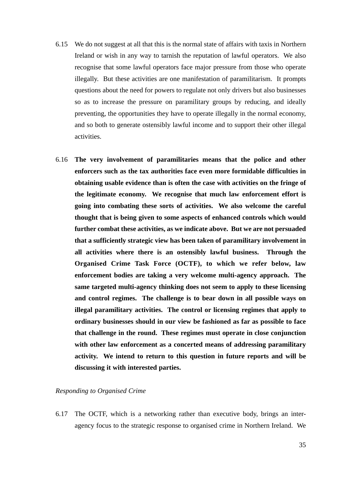- 6.15 We do not suggest at all that this is the normal state of affairs with taxis in Northern Ireland or wish in any way to tarnish the reputation of lawful operators. We also recognise that some lawful operators face major pressure from those who operate illegally. But these activities are one manifestation of paramilitarism. It prompts questions about the need for powers to regulate not only drivers but also businesses so as to increase the pressure on paramilitary groups by reducing, and ideally preventing, the opportunities they have to operate illegally in the normal economy, and so both to generate ostensibly lawful income and to support their other illegal activities.
- 6.16 **The very involvement of paramilitaries means that the police and other enforcers such as the tax authorities face even more formidable difficulties in obtaining usable evidence than is often the case with activities on the fringe of the legitimate economy. We recognise that much law enforcement effort is going into combating these sorts of activities. We also welcome the careful thought that is being given to some aspects of enhanced controls which would further combat these activities, as we indicate above. But we are not persuaded that a sufficiently strategic view has been taken of paramilitary involvement in all activities where there is an ostensibly lawful business. Through the Organised Crime Task Force (OCTF), to which we refer below, law enforcement bodies are taking a very welcome multi-agency approach. The same targeted multi-agency thinking does not seem to apply to these licensing and control regimes. The challenge is to bear down in all possible ways on illegal paramilitary activities. The control or licensing regimes that apply to ordinary businesses should in our view be fashioned as far as possible to face that challenge in the round. These regimes must operate in close conjunction with other law enforcement as a concerted means of addressing paramilitary activity. We intend to return to this question in future reports and will be discussing it with interested parties.**

#### *Responding to Organised Crime*

6.17 The OCTF, which is a networking rather than executive body, brings an interagency focus to the strategic response to organised crime in Northern Ireland. We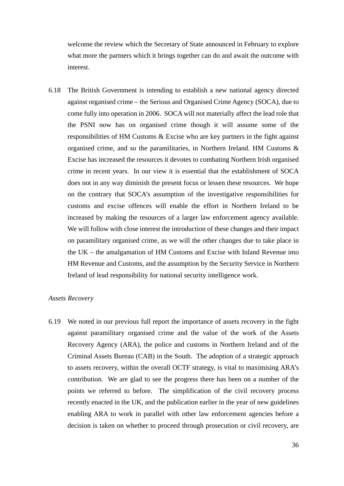welcome the review which the Secretary of State announced in February to explore what more the partners which it brings together can do and await the outcome with interest.

6.18 The British Government is intending to establish a new national agency directed against organised crime – the Serious and Organised Crime Agency (SOCA), due to come fully into operation in 2006. SOCA will not materially affect the lead role that the PSNI now has on organised crime though it will assume some of the responsibilities of HM Customs & Excise who are key partners in the fight against organised crime, and so the paramilitaries, in Northern Ireland. HM Customs & Excise has increased the resources it devotes to combating Northern Irish organised crime in recent years. In our view it is essential that the establishment of SOCA does not in any way diminish the present focus or lessen these resources. We hope on the contrary that SOCA's assumption of the investigative responsibilities for customs and excise offences will enable the effort in Northern Ireland to be increased by making the resources of a larger law enforcement agency available. We will follow with close interest the introduction of these changes and their impact on paramilitary organised crime, as we will the other changes due to take place in the UK – the amalgamation of HM Customs and Excise with Inland Revenue into HM Revenue and Customs, and the assumption by the Security Service in Northern Ireland of lead responsibility for national security intelligence work.

#### *Assets Recovery*

6.19 We noted in our previous full report the importance of assets recovery in the fight against paramilitary organised crime and the value of the work of the Assets Recovery Agency (ARA), the police and customs in Northern Ireland and of the Criminal Assets Bureau (CAB) in the South. The adoption of a strategic approach to assets recovery, within the overall OCTF strategy, is vital to maximising ARA's contribution. We are glad to see the progress there has been on a number of the points we referred to before. The simplification of the civil recovery process recently enacted in the UK, and the publication earlier in the year of new guidelines enabling ARA to work in parallel with other law enforcement agencies before a decision is taken on whether to proceed through prosecution or civil recovery, are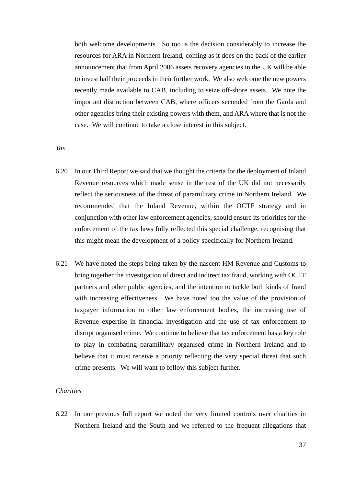both welcome developments. So too is the decision considerably to increase the resources for ARA in Northern Ireland, coming as it does on the back of the earlier announcement that from April 2006 assets recovery agencies in the UK will be able to invest half their proceeds in their further work. We also welcome the new powers recently made available to CAB, including to seize off-shore assets. We note the important distinction between CAB, where officers seconded from the Garda and other agencies bring their existing powers with them, and ARA where that is not the case. We will continue to take a close interest in this subject.

#### *Tax*

- 6.20 In our Third Report we said that we thought the criteria for the deployment of Inland Revenue resources which made sense in the rest of the UK did not necessarily reflect the seriousness of the threat of paramilitary crime in Northern Ireland. We recommended that the Inland Revenue, within the OCTF strategy and in conjunction with other law enforcement agencies, should ensure its priorities for the enforcement of the tax laws fully reflected this special challenge, recognising that this might mean the development of a policy specifically for Northern Ireland.
- 6.21 We have noted the steps being taken by the nascent HM Revenue and Customs to bring together the investigation of direct and indirect tax fraud, working with OCTF partners and other public agencies, and the intention to tackle both kinds of fraud with increasing effectiveness. We have noted too the value of the provision of taxpayer information to other law enforcement bodies, the increasing use of Revenue expertise in financial investigation and the use of tax enforcement to disrupt organised crime. We continue to believe that tax enforcement has a key role to play in combating paramilitary organised crime in Northern Ireland and to believe that it must receive a priority reflecting the very special threat that such crime presents. We will want to follow this subject further.

#### *Charities*

6.22 In our previous full report we noted the very limited controls over charities in Northern Ireland and the South and we referred to the frequent allegations that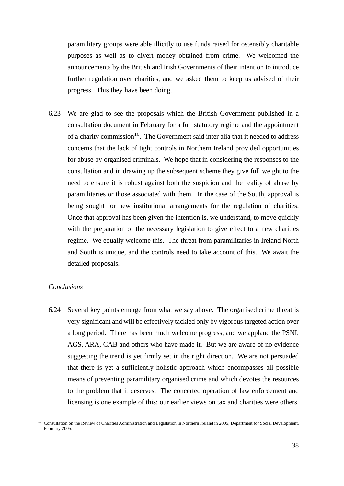paramilitary groups were able illicitly to use funds raised for ostensibly charitable purposes as well as to divert money obtained from crime. We welcomed the announcements by the British and Irish Governments of their intention to introduce further regulation over charities, and we asked them to keep us advised of their progress. This they have been doing.

6.23 We are glad to see the proposals which the British Government published in a consultation document in February for a full statutory regime and the appointment of a charity commission<sup>16</sup>. The Government said inter alia that it needed to address concerns that the lack of tight controls in Northern Ireland provided opportunities for abuse by organised criminals. We hope that in considering the responses to the consultation and in drawing up the subsequent scheme they give full weight to the need to ensure it is robust against both the suspicion and the reality of abuse by paramilitaries or those associated with them. In the case of the South, approval is being sought for new institutional arrangements for the regulation of charities. Once that approval has been given the intention is, we understand, to move quickly with the preparation of the necessary legislation to give effect to a new charities regime. We equally welcome this. The threat from paramilitaries in Ireland North and South is unique, and the controls need to take account of this. We await the detailed proposals.

#### *Conclusions*

6.24 Several key points emerge from what we say above. The organised crime threat is very significant and will be effectively tackled only by vigorous targeted action over a long period. There has been much welcome progress, and we applaud the PSNI, AGS, ARA, CAB and others who have made it. But we are aware of no evidence suggesting the trend is yet firmly set in the right direction. We are not persuaded that there is yet a sufficiently holistic approach which encompasses all possible means of preventing paramilitary organised crime and which devotes the resources to the problem that it deserves. The concerted operation of law enforcement and licensing is one example of this; our earlier views on tax and charities were others.

<sup>&</sup>lt;sup>16</sup> Consultation on the Review of Charities Administration and Legislation in Northern Ireland in 2005; Department for Social Development, February 2005.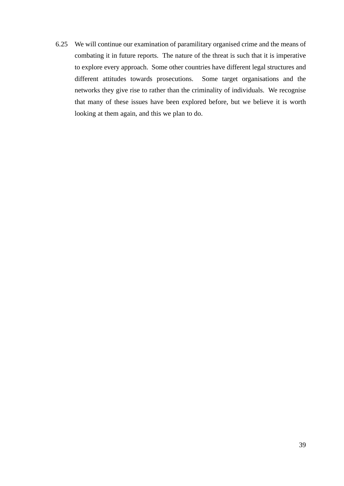6.25 We will continue our examination of paramilitary organised crime and the means of combating it in future reports. The nature of the threat is such that it is imperative to explore every approach. Some other countries have different legal structures and different attitudes towards prosecutions. Some target organisations and the networks they give rise to rather than the criminality of individuals. We recognise that many of these issues have been explored before, but we believe it is worth looking at them again, and this we plan to do.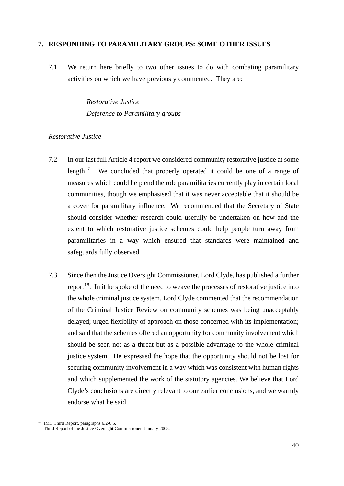#### **7. RESPONDING TO PARAMILITARY GROUPS: SOME OTHER ISSUES**

7.1 We return here briefly to two other issues to do with combating paramilitary activities on which we have previously commented. They are:

> *Restorative Justice Deference to Paramilitary groups*

#### *Restorative Justice*

- 7.2 In our last full Article 4 report we considered community restorative justice at some length<sup>17</sup>. We concluded that properly operated it could be one of a range of measures which could help end the role paramilitaries currently play in certain local communities, though we emphasised that it was never acceptable that it should be a cover for paramilitary influence. We recommended that the Secretary of State should consider whether research could usefully be undertaken on how and the extent to which restorative justice schemes could help people turn away from paramilitaries in a way which ensured that standards were maintained and safeguards fully observed.
- 7.3 Since then the Justice Oversight Commissioner, Lord Clyde, has published a further report $18$ . In it he spoke of the need to weave the processes of restorative justice into the whole criminal justice system. Lord Clyde commented that the recommendation of the Criminal Justice Review on community schemes was being unacceptably delayed; urged flexibility of approach on those concerned with its implementation; and said that the schemes offered an opportunity for community involvement which should be seen not as a threat but as a possible advantage to the whole criminal justice system. He expressed the hope that the opportunity should not be lost for securing community involvement in a way which was consistent with human rights and which supplemented the work of the statutory agencies. We believe that Lord Clyde's conclusions are directly relevant to our earlier conclusions, and we warmly endorse what he said.

<sup>&</sup>lt;sup>17</sup> IMC Third Report, paragraphs 6.2-6.5.<br><sup>18</sup> Third Report of the Justice Oversight Commissioner, January 2005.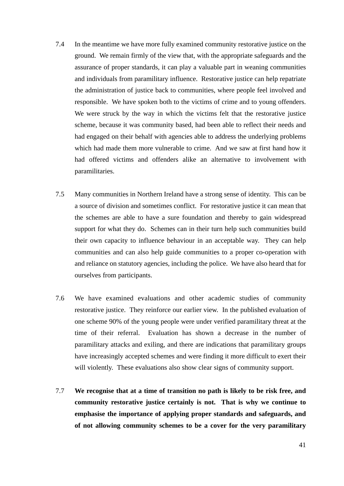- 7.4 In the meantime we have more fully examined community restorative justice on the ground. We remain firmly of the view that, with the appropriate safeguards and the assurance of proper standards, it can play a valuable part in weaning communities and individuals from paramilitary influence. Restorative justice can help repatriate the administration of justice back to communities, where people feel involved and responsible. We have spoken both to the victims of crime and to young offenders. We were struck by the way in which the victims felt that the restorative justice scheme, because it was community based, had been able to reflect their needs and had engaged on their behalf with agencies able to address the underlying problems which had made them more vulnerable to crime. And we saw at first hand how it had offered victims and offenders alike an alternative to involvement with paramilitaries.
- 7.5 Many communities in Northern Ireland have a strong sense of identity. This can be a source of division and sometimes conflict. For restorative justice it can mean that the schemes are able to have a sure foundation and thereby to gain widespread support for what they do. Schemes can in their turn help such communities build their own capacity to influence behaviour in an acceptable way. They can help communities and can also help guide communities to a proper co-operation with and reliance on statutory agencies, including the police. We have also heard that for ourselves from participants.
- 7.6 We have examined evaluations and other academic studies of community restorative justice. They reinforce our earlier view. In the published evaluation of one scheme 90% of the young people were under verified paramilitary threat at the time of their referral. Evaluation has shown a decrease in the number of paramilitary attacks and exiling, and there are indications that paramilitary groups have increasingly accepted schemes and were finding it more difficult to exert their will violently. These evaluations also show clear signs of community support.
- 7.7 **We recognise that at a time of transition no path is likely to be risk free, and community restorative justice certainly is not. That is why we continue to emphasise the importance of applying proper standards and safeguards, and of not allowing community schemes to be a cover for the very paramilitary**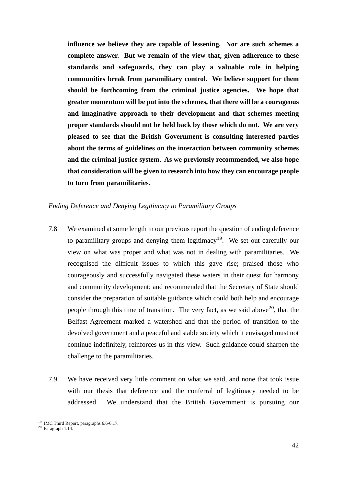**influence we believe they are capable of lessening. Nor are such schemes a complete answer. But we remain of the view that, given adherence to these standards and safeguards, they can play a valuable role in helping communities break from paramilitary control. We believe support for them should be forthcoming from the criminal justice agencies. We hope that greater momentum will be put into the schemes, that there will be a courageous and imaginative approach to their development and that schemes meeting proper standards should not be held back by those which do not. We are very pleased to see that the British Government is consulting interested parties about the terms of guidelines on the interaction between community schemes and the criminal justice system. As we previously recommended, we also hope that consideration will be given to research into how they can encourage people to turn from paramilitaries.**

#### *Ending Deference and Denying Legitimacy to Paramilitary Groups*

- 7.8 We examined at some length in our previous report the question of ending deference to paramilitary groups and denying them legitimacy<sup>19</sup>. We set out carefully our view on what was proper and what was not in dealing with paramilitaries. We recognised the difficult issues to which this gave rise; praised those who courageously and successfully navigated these waters in their quest for harmony and community development; and recommended that the Secretary of State should consider the preparation of suitable guidance which could both help and encourage people through this time of transition. The very fact, as we said above<sup>20</sup>, that the Belfast Agreement marked a watershed and that the period of transition to the devolved government and a peaceful and stable society which it envisaged must not continue indefinitely, reinforces us in this view. Such guidance could sharpen the challenge to the paramilitaries.
- 7.9 We have received very little comment on what we said, and none that took issue with our thesis that deference and the conferral of legitimacy needed to be addressed. We understand that the British Government is pursuing our

<sup>&</sup>lt;sup>19</sup> IMC Third Report, paragraphs 6.6-6.17.<br><sup>20</sup> Paragraph 1.14.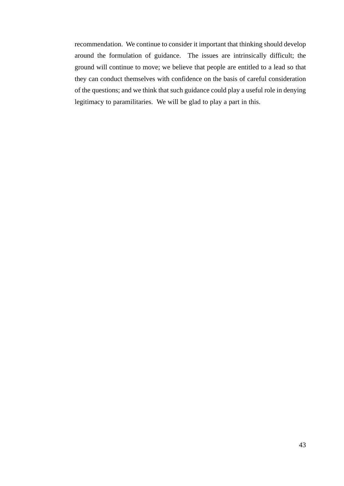recommendation. We continue to consider it important that thinking should develop around the formulation of guidance. The issues are intrinsically difficult; the ground will continue to move; we believe that people are entitled to a lead so that they can conduct themselves with confidence on the basis of careful consideration of the questions; and we think that such guidance could play a useful role in denying legitimacy to paramilitaries. We will be glad to play a part in this.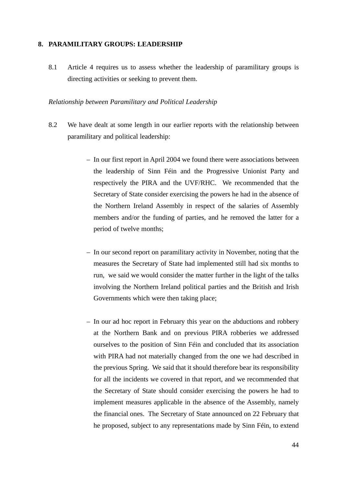#### **8. PARAMILITARY GROUPS: LEADERSHIP**

8.1 Article 4 requires us to assess whether the leadership of paramilitary groups is directing activities or seeking to prevent them.

#### *Relationship between Paramilitary and Political Leadership*

- 8.2 We have dealt at some length in our earlier reports with the relationship between paramilitary and political leadership:
	- In our first report in April 2004 we found there were associations between the leadership of Sinn Féin and the Progressive Unionist Party and respectively the PIRA and the UVF/RHC. We recommended that the Secretary of State consider exercising the powers he had in the absence of the Northern Ireland Assembly in respect of the salaries of Assembly members and/or the funding of parties, and he removed the latter for a period of twelve months;
	- In our second report on paramilitary activity in November, noting that the measures the Secretary of State had implemented still had six months to run, we said we would consider the matter further in the light of the talks involving the Northern Ireland political parties and the British and Irish Governments which were then taking place;
	- In our ad hoc report in February this year on the abductions and robbery at the Northern Bank and on previous PIRA robberies we addressed ourselves to the position of Sinn Féin and concluded that its association with PIRA had not materially changed from the one we had described in the previous Spring. We said that it should therefore bear its responsibility for all the incidents we covered in that report, and we recommended that the Secretary of State should consider exercising the powers he had to implement measures applicable in the absence of the Assembly, namely the financial ones. The Secretary of State announced on 22 February that he proposed, subject to any representations made by Sinn Féin, to extend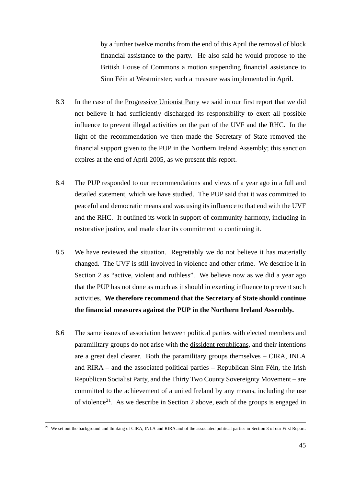by a further twelve months from the end of this April the removal of block financial assistance to the party. He also said he would propose to the British House of Commons a motion suspending financial assistance to Sinn Féin at Westminster; such a measure was implemented in April.

- 8.3 In the case of the Progressive Unionist Party we said in our first report that we did not believe it had sufficiently discharged its responsibility to exert all possible influence to prevent illegal activities on the part of the UVF and the RHC. In the light of the recommendation we then made the Secretary of State removed the financial support given to the PUP in the Northern Ireland Assembly; this sanction expires at the end of April 2005, as we present this report.
- 8.4 The PUP responded to our recommendations and views of a year ago in a full and detailed statement, which we have studied. The PUP said that it was committed to peaceful and democratic means and was using its influence to that end with the UVF and the RHC. It outlined its work in support of community harmony, including in restorative justice, and made clear its commitment to continuing it.
- 8.5 We have reviewed the situation. Regrettably we do not believe it has materially changed. The UVF is still involved in violence and other crime. We describe it in Section 2 as "active, violent and ruthless". We believe now as we did a year ago that the PUP has not done as much as it should in exerting influence to prevent such activities. **We therefore recommend that the Secretary of State should continue the financial measures against the PUP in the Northern Ireland Assembly.**
- 8.6 The same issues of association between political parties with elected members and paramilitary groups do not arise with the dissident republicans, and their intentions are a great deal clearer. Both the paramilitary groups themselves – CIRA, INLA and RIRA – and the associated political parties – Republican Sinn Féin, the Irish Republican Socialist Party, and the Thirty Two County Sovereignty Movement – are committed to the achievement of a united Ireland by any means, including the use of violence<sup>21</sup>. As we describe in Section 2 above, each of the groups is engaged in

<sup>&</sup>lt;sup>21</sup> We set out the background and thinking of CIRA, INLA and RIRA and of the associated political parties in Section 3 of our First Report.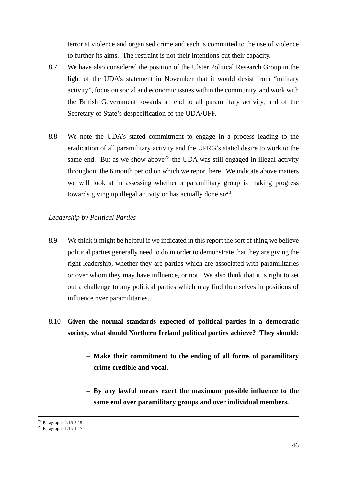terrorist violence and organised crime and each is committed to the use of violence to further its aims. The restraint is not their intentions but their capacity.

- 8.7 We have also considered the position of the Ulster Political Research Group in the light of the UDA's statement in November that it would desist from "military activity", focus on social and economic issues within the community, and work with the British Government towards an end to all paramilitary activity, and of the Secretary of State's despecification of the UDA/UFF.
- 8.8 We note the UDA's stated commitment to engage in a process leading to the eradication of all paramilitary activity and the UPRG's stated desire to work to the same end. But as we show above<sup>22</sup> the UDA was still engaged in illegal activity throughout the 6 month period on which we report here. We indicate above matters we will look at in assessing whether a paramilitary group is making progress towards giving up illegal activity or has actually done  $\delta^{23}$ .

#### *Leadership by Political Parties*

- 8.9 We think it might be helpful if we indicated in this report the sort of thing we believe political parties generally need to do in order to demonstrate that they are giving the right leadership, whether they are parties which are associated with paramilitaries or over whom they may have influence, or not. We also think that it is right to set out a challenge to any political parties which may find themselves in positions of influence over paramilitaries.
- 8.10 **Given the normal standards expected of political parties in a democratic society, what should Northern Ireland political parties achieve? They should:**
	- **Make their commitment to the ending of all forms of paramilitary crime credible and vocal.**
	- **By any lawful means exert the maximum possible influence to the same end over paramilitary groups and over individual members.**

<sup>22</sup> Paragraphs 2.16-2.19.

<sup>23</sup> Paragraphs 1.15-1.17.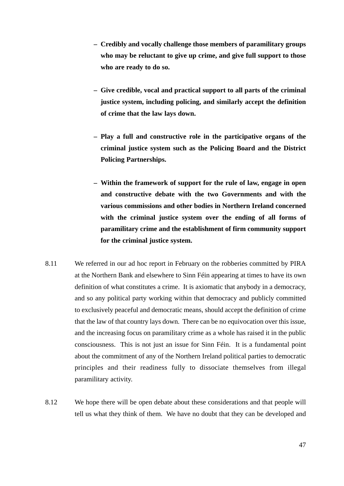- **Credibly and vocally challenge those members of paramilitary groups who may be reluctant to give up crime, and give full support to those who are ready to do so.**
- **Give credible, vocal and practical support to all parts of the criminal justice system, including policing, and similarly accept the definition of crime that the law lays down.**
- **Play a full and constructive role in the participative organs of the criminal justice system such as the Policing Board and the District Policing Partnerships.**
- **Within the framework of support for the rule of law, engage in open and constructive debate with the two Governments and with the various commissions and other bodies in Northern Ireland concerned with the criminal justice system over the ending of all forms of paramilitary crime and the establishment of firm community support for the criminal justice system.**
- 8.11 We referred in our ad hoc report in February on the robberies committed by PIRA at the Northern Bank and elsewhere to Sinn Féin appearing at times to have its own definition of what constitutes a crime. It is axiomatic that anybody in a democracy, and so any political party working within that democracy and publicly committed to exclusively peaceful and democratic means, should accept the definition of crime that the law of that country lays down. There can be no equivocation over this issue, and the increasing focus on paramilitary crime as a whole has raised it in the public consciousness. This is not just an issue for Sinn Féin. It is a fundamental point about the commitment of any of the Northern Ireland political parties to democratic principles and their readiness fully to dissociate themselves from illegal paramilitary activity.
- 8.12 We hope there will be open debate about these considerations and that people will tell us what they think of them. We have no doubt that they can be developed and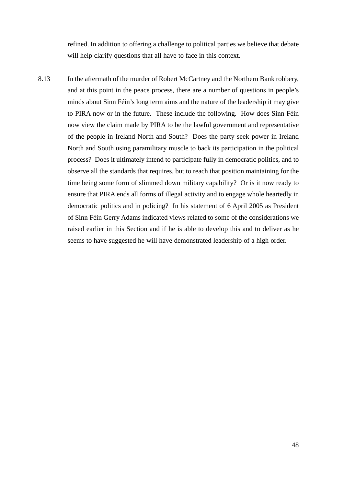refined. In addition to offering a challenge to political parties we believe that debate will help clarify questions that all have to face in this context.

8.13 In the aftermath of the murder of Robert McCartney and the Northern Bank robbery, and at this point in the peace process, there are a number of questions in people's minds about Sinn Féin's long term aims and the nature of the leadership it may give to PIRA now or in the future. These include the following. How does Sinn Féin now view the claim made by PIRA to be the lawful government and representative of the people in Ireland North and South? Does the party seek power in Ireland North and South using paramilitary muscle to back its participation in the political process? Does it ultimately intend to participate fully in democratic politics, and to observe all the standards that requires, but to reach that position maintaining for the time being some form of slimmed down military capability? Or is it now ready to ensure that PIRA ends all forms of illegal activity and to engage whole heartedly in democratic politics and in policing? In his statement of 6 April 2005 as President of Sinn Féin Gerry Adams indicated views related to some of the considerations we raised earlier in this Section and if he is able to develop this and to deliver as he seems to have suggested he will have demonstrated leadership of a high order.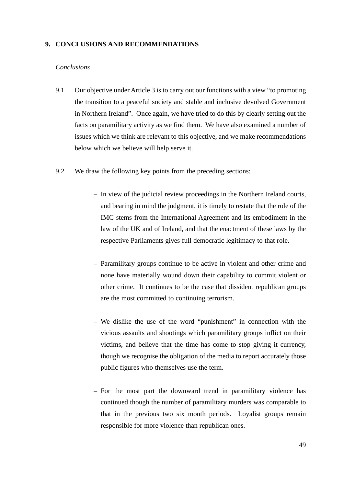#### **9. CONCLUSIONS AND RECOMMENDATIONS**

#### *Conclusions*

- 9.1 Our objective under Article 3 is to carry out our functions with a view "to promoting the transition to a peaceful society and stable and inclusive devolved Government in Northern Ireland". Once again, we have tried to do this by clearly setting out the facts on paramilitary activity as we find them. We have also examined a number of issues which we think are relevant to this objective, and we make recommendations below which we believe will help serve it.
- 9.2 We draw the following key points from the preceding sections:
	- In view of the judicial review proceedings in the Northern Ireland courts, and bearing in mind the judgment, it is timely to restate that the role of the IMC stems from the International Agreement and its embodiment in the law of the UK and of Ireland, and that the enactment of these laws by the respective Parliaments gives full democratic legitimacy to that role.
	- Paramilitary groups continue to be active in violent and other crime and none have materially wound down their capability to commit violent or other crime. It continues to be the case that dissident republican groups are the most committed to continuing terrorism.
	- We dislike the use of the word "punishment" in connection with the vicious assaults and shootings which paramilitary groups inflict on their victims, and believe that the time has come to stop giving it currency, though we recognise the obligation of the media to report accurately those public figures who themselves use the term.
	- For the most part the downward trend in paramilitary violence has continued though the number of paramilitary murders was comparable to that in the previous two six month periods. Loyalist groups remain responsible for more violence than republican ones.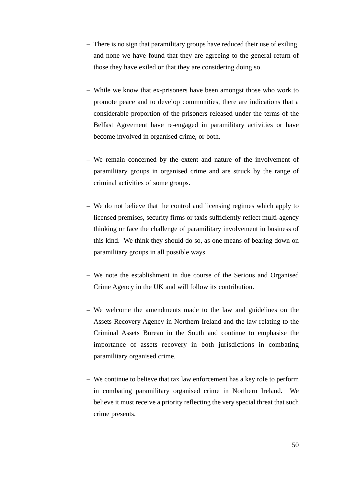- There is no sign that paramilitary groups have reduced their use of exiling, and none we have found that they are agreeing to the general return of those they have exiled or that they are considering doing so.
- While we know that ex-prisoners have been amongst those who work to promote peace and to develop communities, there are indications that a considerable proportion of the prisoners released under the terms of the Belfast Agreement have re-engaged in paramilitary activities or have become involved in organised crime, or both.
- We remain concerned by the extent and nature of the involvement of paramilitary groups in organised crime and are struck by the range of criminal activities of some groups.
- We do not believe that the control and licensing regimes which apply to licensed premises, security firms or taxis sufficiently reflect multi-agency thinking or face the challenge of paramilitary involvement in business of this kind. We think they should do so, as one means of bearing down on paramilitary groups in all possible ways.
- We note the establishment in due course of the Serious and Organised Crime Agency in the UK and will follow its contribution.
- We welcome the amendments made to the law and guidelines on the Assets Recovery Agency in Northern Ireland and the law relating to the Criminal Assets Bureau in the South and continue to emphasise the importance of assets recovery in both jurisdictions in combating paramilitary organised crime.
- We continue to believe that tax law enforcement has a key role to perform in combating paramilitary organised crime in Northern Ireland. We believe it must receive a priority reflecting the very special threat that such crime presents.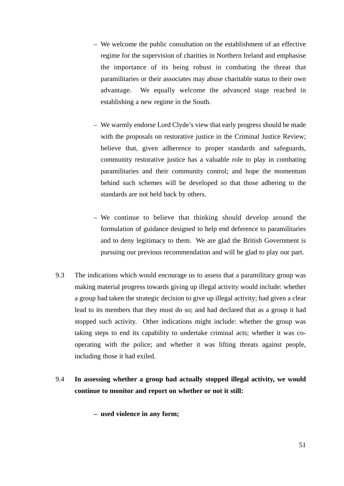- We welcome the public consultation on the establishment of an effective regime for the supervision of charities in Northern Ireland and emphasise the importance of its being robust in combating the threat that paramilitaries or their associates may abuse charitable status to their own advantage. We equally welcome the advanced stage reached in establishing a new regime in the South.
- We warmly endorse Lord Clyde's view that early progress should be made with the proposals on restorative justice in the Criminal Justice Review; believe that, given adherence to proper standards and safeguards, community restorative justice has a valuable role to play in combating paramilitaries and their community control; and hope the momentum behind such schemes will be developed so that those adhering to the standards are not held back by others.
- We continue to believe that thinking should develop around the formulation of guidance designed to help end deference to paramilitaries and to deny legitimacy to them. We are glad the British Government is pursuing our previous recommendation and will be glad to play our part.
- 9.3 The indications which would encourage us to assess that a paramilitary group was making material progress towards giving up illegal activity would include: whether a group had taken the strategic decision to give up illegal activity; had given a clear lead to its members that they must do so; and had declared that as a group it had stopped such activity. Other indications might include: whether the group was taking steps to end its capability to undertake criminal acts; whether it was cooperating with the police; and whether it was lifting threats against people, including those it had exiled.

# 9.4 **In assessing whether a group had actually stopped illegal activity, we would continue to monitor and report on whether or not it still:**

**– used violence in any form;**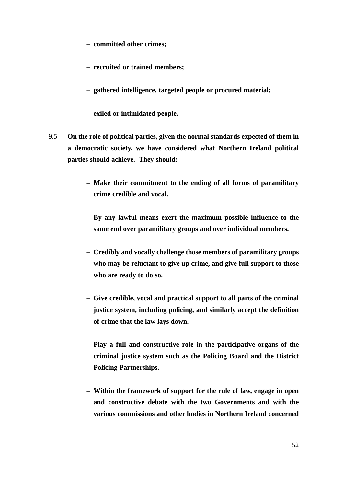**– committed other crimes;**

- **recruited or trained members;**
- **gathered intelligence, targeted people or procured material;**
- **exiled or intimidated people.**
- 9.5 **On the role of political parties, given the normal standards expected of them in a democratic society, we have considered what Northern Ireland political parties should achieve. They should:**
	- **Make their commitment to the ending of all forms of paramilitary crime credible and vocal.**
	- **By any lawful means exert the maximum possible influence to the same end over paramilitary groups and over individual members.**
	- **Credibly and vocally challenge those members of paramilitary groups who may be reluctant to give up crime, and give full support to those who are ready to do so.**
	- **Give credible, vocal and practical support to all parts of the criminal justice system, including policing, and similarly accept the definition of crime that the law lays down.**
	- **Play a full and constructive role in the participative organs of the criminal justice system such as the Policing Board and the District Policing Partnerships.**
	- **Within the framework of support for the rule of law, engage in open and constructive debate with the two Governments and with the various commissions and other bodies in Northern Ireland concerned**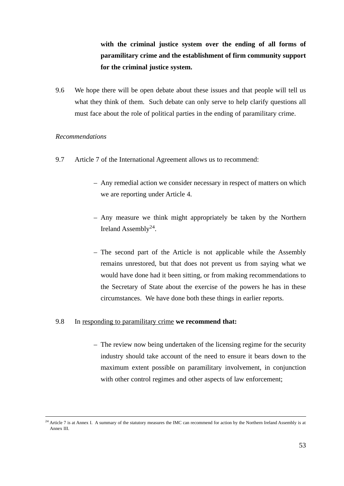# **with the criminal justice system over the ending of all forms of paramilitary crime and the establishment of firm community support for the criminal justice system.**

9.6 We hope there will be open debate about these issues and that people will tell us what they think of them. Such debate can only serve to help clarify questions all must face about the role of political parties in the ending of paramilitary crime.

#### *Recommendations*

- 9.7 Article 7 of the International Agreement allows us to recommend:
	- Any remedial action we consider necessary in respect of matters on which we are reporting under Article 4.
	- Any measure we think might appropriately be taken by the Northern Ireland Assembly<sup>24</sup>.
	- The second part of the Article is not applicable while the Assembly remains unrestored, but that does not prevent us from saying what we would have done had it been sitting, or from making recommendations to the Secretary of State about the exercise of the powers he has in these circumstances. We have done both these things in earlier reports.

#### 9.8 In responding to paramilitary crime **we recommend that:**

– The review now being undertaken of the licensing regime for the security industry should take account of the need to ensure it bears down to the maximum extent possible on paramilitary involvement, in conjunction with other control regimes and other aspects of law enforcement;

 $^{24}$  Article 7 is at Annex I. A summary of the statutory measures the IMC can recommend for action by the Northern Ireland Assembly is at Annex III.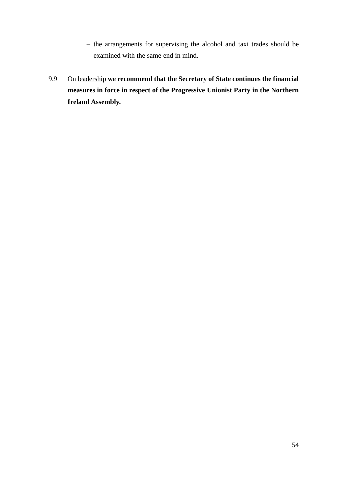- the arrangements for supervising the alcohol and taxi trades should be examined with the same end in mind.
- 9.9 On leadership **we recommend that the Secretary of State continues the financial measures in force in respect of the Progressive Unionist Party in the Northern Ireland Assembly.**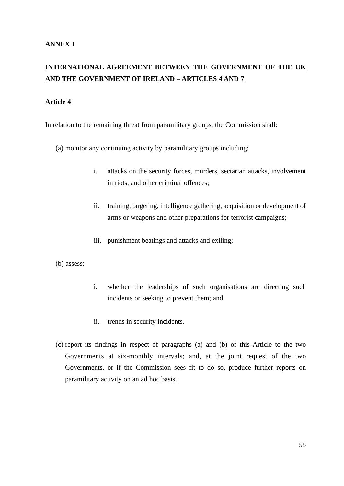# **INTERNATIONAL AGREEMENT BETWEEN THE GOVERNMENT OF THE UK AND THE GOVERNMENT OF IRELAND – ARTICLES 4 AND 7**

#### **Article 4**

In relation to the remaining threat from paramilitary groups, the Commission shall:

(a) monitor any continuing activity by paramilitary groups including:

- i. attacks on the security forces, murders, sectarian attacks, involvement in riots, and other criminal offences;
- ii. training, targeting, intelligence gathering, acquisition or development of arms or weapons and other preparations for terrorist campaigns;
- iii. punishment beatings and attacks and exiling;
- (b) assess:
- i. whether the leaderships of such organisations are directing such incidents or seeking to prevent them; and
- ii. trends in security incidents.
- (c) report its findings in respect of paragraphs (a) and (b) of this Article to the two Governments at six-monthly intervals; and, at the joint request of the two Governments, or if the Commission sees fit to do so, produce further reports on paramilitary activity on an ad hoc basis.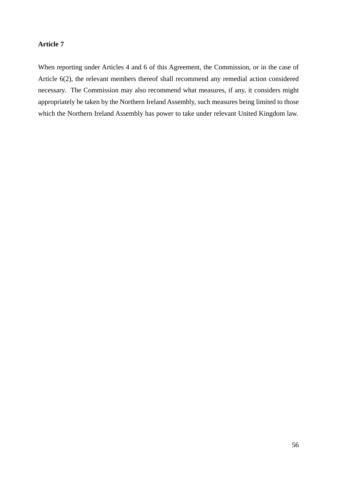#### **Article 7**

When reporting under Articles 4 and 6 of this Agreement, the Commission, or in the case of Article 6(2), the relevant members thereof shall recommend any remedial action considered necessary. The Commission may also recommend what measures, if any, it considers might appropriately be taken by the Northern Ireland Assembly, such measures being limited to those which the Northern Ireland Assembly has power to take under relevant United Kingdom law.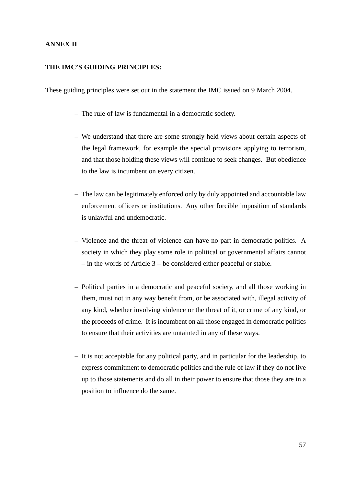#### **ANNEX II**

#### **THE IMC'S GUIDING PRINCIPLES:**

These guiding principles were set out in the statement the IMC issued on 9 March 2004.

- The rule of law is fundamental in a democratic society.
- We understand that there are some strongly held views about certain aspects of the legal framework, for example the special provisions applying to terrorism, and that those holding these views will continue to seek changes. But obedience to the law is incumbent on every citizen.
- The law can be legitimately enforced only by duly appointed and accountable law enforcement officers or institutions. Any other forcible imposition of standards is unlawful and undemocratic.
- Violence and the threat of violence can have no part in democratic politics. A society in which they play some role in political or governmental affairs cannot – in the words of Article 3 – be considered either peaceful or stable.
- Political parties in a democratic and peaceful society, and all those working in them, must not in any way benefit from, or be associated with, illegal activity of any kind, whether involving violence or the threat of it, or crime of any kind, or the proceeds of crime. It is incumbent on all those engaged in democratic politics to ensure that their activities are untainted in any of these ways.
- It is not acceptable for any political party, and in particular for the leadership, to express commitment to democratic politics and the rule of law if they do not live up to those statements and do all in their power to ensure that those they are in a position to influence do the same.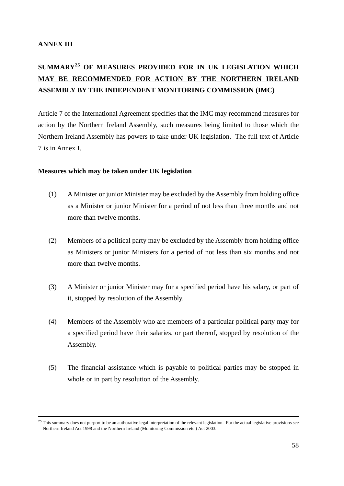#### **ANNEX III**

# **SUMMARY25 OF MEASURES PROVIDED FOR IN UK LEGISLATION WHICH MAY BE RECOMMENDED FOR ACTION BY THE NORTHERN IRELAND ASSEMBLY BY THE INDEPENDENT MONITORING COMMISSION (IMC)**

Article 7 of the International Agreement specifies that the IMC may recommend measures for action by the Northern Ireland Assembly, such measures being limited to those which the Northern Ireland Assembly has powers to take under UK legislation. The full text of Article 7 is in Annex I.

#### **Measures which may be taken under UK legislation**

- (1) A Minister or junior Minister may be excluded by the Assembly from holding office as a Minister or junior Minister for a period of not less than three months and not more than twelve months.
- (2) Members of a political party may be excluded by the Assembly from holding office as Ministers or junior Ministers for a period of not less than six months and not more than twelve months.
- (3) A Minister or junior Minister may for a specified period have his salary, or part of it, stopped by resolution of the Assembly.
- (4) Members of the Assembly who are members of a particular political party may for a specified period have their salaries, or part thereof, stopped by resolution of the Assembly.
- (5) The financial assistance which is payable to political parties may be stopped in whole or in part by resolution of the Assembly.

<sup>&</sup>lt;sup>25</sup> This summary does not purport to be an authorative legal interpretation of the relevant legislation. For the actual legislative provisions see Northern Ireland Act 1998 and the Northern Ireland (Monitoring Commission etc.) Act 2003.